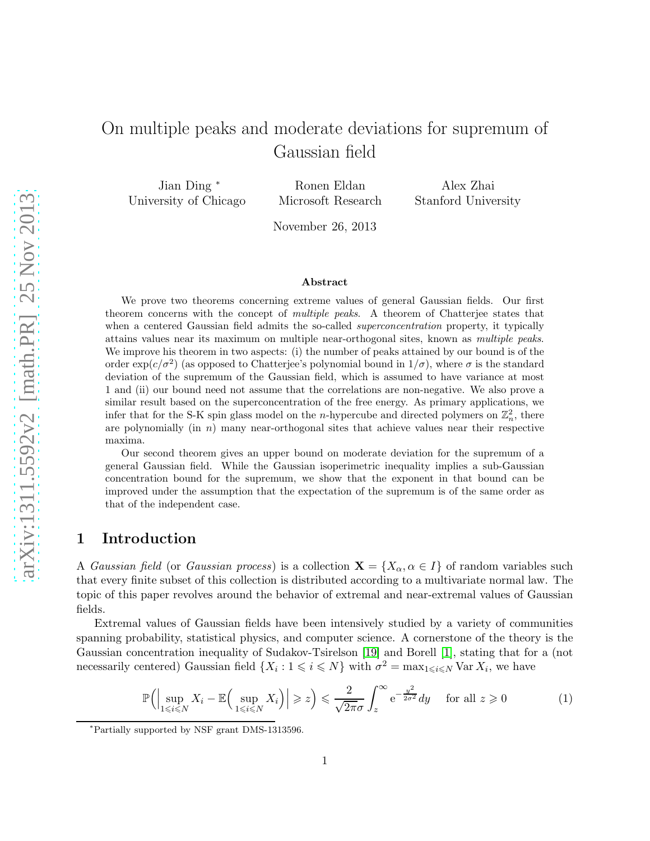# On multiple peaks and moderate deviations for supremum of Gaussian field

Jian Ding <sup>∗</sup> University of Chicago

Ronen Eldan Microsoft Research

Alex Zhai Stanford University

November 26, 2013

#### Abstract

We prove two theorems concerning extreme values of general Gaussian fields. Our first theorem concerns with the concept of *multiple peaks*. A theorem of Chatterjee states that when a centered Gaussian field admits the so-called *superconcentration* property, it typically attains values near its maximum on multiple near-orthogonal sites, known as *multiple peaks*. We improve his theorem in two aspects: (i) the number of peaks attained by our bound is of the order  $\exp(c/\sigma^2)$  (as opposed to Chatterjee's polynomial bound in  $1/\sigma$ ), where  $\sigma$  is the standard deviation of the supremum of the Gaussian field, which is assumed to have variance at most 1 and (ii) our bound need not assume that the correlations are non-negative. We also prove a similar result based on the superconcentration of the free energy. As primary applications, we infer that for the S-K spin glass model on the *n*-hypercube and directed polymers on  $\mathbb{Z}_n^2$ , there are polynomially (in  $n$ ) many near-orthogonal sites that achieve values near their respective maxima.

Our second theorem gives an upper bound on moderate deviation for the supremum of a general Gaussian field. While the Gaussian isoperimetric inequality implies a sub-Gaussian concentration bound for the supremum, we show that the exponent in that bound can be improved under the assumption that the expectation of the supremum is of the same order as that of the independent case.

# 1 Introduction

A *Gaussian field* (or *Gaussian process*) is a collection  $X = \{X_{\alpha}, \alpha \in I\}$  of random variables such that every finite subset of this collection is distributed according to a multivariate normal law. The topic of this paper revolves around the behavior of extremal and near-extremal values of Gaussian fields.

Extremal values of Gaussian fields have been intensively studied by a variety of communities spanning probability, statistical physics, and computer science. A cornerstone of the theory is the Gaussian concentration inequality of Sudakov-Tsirelson [\[19\]](#page-24-0) and Borell [\[1\]](#page-23-0), stating that for a (not necessarily centered) Gaussian field  $\{X_i : 1 \leq i \leq N\}$  with  $\sigma^2 = \max_{1 \leq i \leq N} \text{Var } X_i$ , we have

<span id="page-0-0"></span>
$$
\mathbb{P}\Big(\Big|\sup_{1\leqslant i\leqslant N}X_i-\mathbb{E}\Big(\sup_{1\leqslant i\leqslant N}X_i\Big)\Big|\geqslant z\Big)\leqslant\frac{2}{\sqrt{2\pi}\sigma}\int_z^\infty e^{-\frac{y^2}{2\sigma^2}}dy\quad\text{ for all }z\geqslant 0\tag{1}
$$

<sup>∗</sup>Partially supported by NSF grant DMS-1313596.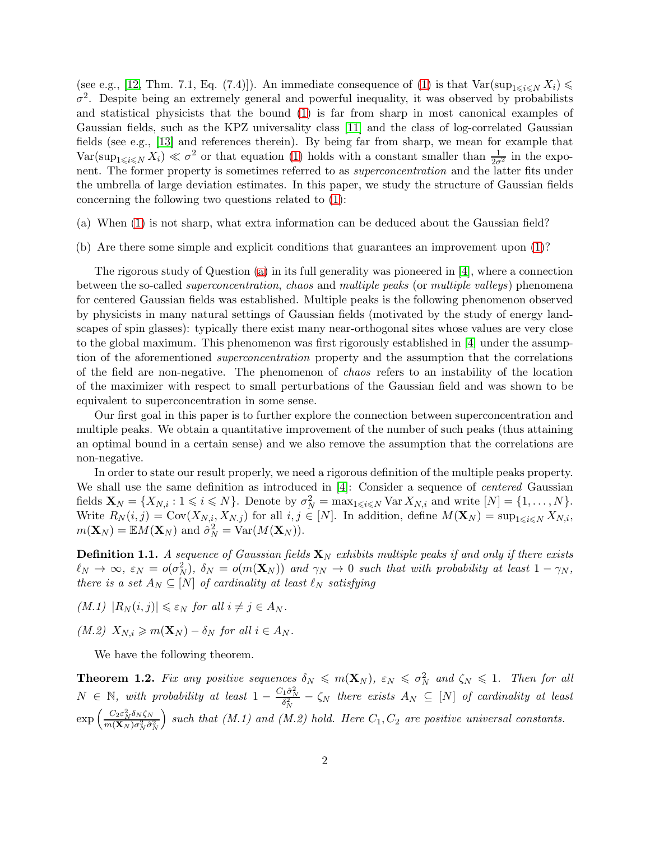(see e.g., [\[12,](#page-23-1) Thm. 7.1, Eq. (7.4)]). An immediate consequence of [\(1\)](#page-0-0) is that  $Var(\sup_{1 \le i \le N} X_i) \le$  $\sigma^2$ . Despite being an extremely general and powerful inequality, it was observed by probabilists and statistical physicists that the bound [\(1\)](#page-0-0) is far from sharp in most canonical examples of Gaussian fields, such as the KPZ universality class [\[11\]](#page-23-2) and the class of log-correlated Gaussian fields (see e.g., [\[13\]](#page-23-3) and references therein). By being far from sharp, we mean for example that  $Var(\sup_{1 \leq i \leq N} X_i) \ll \sigma^2$  or that equation [\(1\)](#page-0-0) holds with a constant smaller than  $\frac{1}{2\sigma^2}$  in the exponent. The former property is sometimes referred to as *superconcentration* and the latter fits under the umbrella of large deviation estimates. In this paper, we study the structure of Gaussian fields concerning the following two questions related to [\(1\)](#page-0-0):

- <span id="page-1-2"></span><span id="page-1-0"></span>(a) When [\(1\)](#page-0-0) is not sharp, what extra information can be deduced about the Gaussian field?
- (b) Are there some simple and explicit conditions that guarantees an improvement upon [\(1\)](#page-0-0)?

The rigorous study of Question [\(a\)](#page-1-0) in its full generality was pioneered in [\[4\]](#page-23-4), where a connection between the so-called *superconcentration*, *chaos* and *multiple peaks* (or *multiple valleys*) phenomena for centered Gaussian fields was established. Multiple peaks is the following phenomenon observed by physicists in many natural settings of Gaussian fields (motivated by the study of energy landscapes of spin glasses): typically there exist many near-orthogonal sites whose values are very close to the global maximum. This phenomenon was first rigorously established in [\[4\]](#page-23-4) under the assumption of the aforementioned *superconcentration* property and the assumption that the correlations of the field are non-negative. The phenomenon of *chaos* refers to an instability of the location of the maximizer with respect to small perturbations of the Gaussian field and was shown to be equivalent to superconcentration in some sense.

Our first goal in this paper is to further explore the connection between superconcentration and multiple peaks. We obtain a quantitative improvement of the number of such peaks (thus attaining an optimal bound in a certain sense) and we also remove the assumption that the correlations are non-negative.

In order to state our result properly, we need a rigorous definition of the multiple peaks property. We shall use the same definition as introduced in [\[4\]](#page-23-4): Consider a sequence of *centered* Gaussian fields  $\mathbf{X}_N = \{X_{N,i} : 1 \leq i \leq N\}$ . Denote by  $\sigma_N^2 = \max_{1 \leq i \leq N} \text{Var } X_{N,i}$  and write  $[N] = \{1, \ldots, N\}$ . Write  $R_N(i, j) = \text{Cov}(X_{N,i}, X_{N,j})$  for all  $i, j \in [N]$ . In addition, define  $M(\mathbf{X}_N) = \sup_{1 \leq i \leq N} X_{N,i}$ ,  $m(\mathbf{X}_N) = \mathbb{E}M(\mathbf{X}_N)$  and  $\hat{\sigma}_N^2 = \text{Var}(M(\mathbf{X}_N)).$ 

**Definition 1.1.** A sequence of Gaussian fields  $X_N$  exhibits multiple peaks if and only if there exists  $\ell_N \to \infty$ ,  $\varepsilon_N = o(\sigma_N^2)$ ,  $\delta_N = o(m(\mathbf{X}_N))$  and  $\gamma_N \to 0$  such that with probability at least  $1 - \gamma_N$ , *there is a set*  $A_N \subseteq [N]$  *of cardinality at least*  $\ell_N$  *satisfying* 

 $(M.1)$   $|R_N(i,j)| \leq \varepsilon_N$  *for all*  $i \neq j \in A_N$ *.* 

 $(M.2)$   $X_{N,i} \geq m(\mathbf{X}_N) - \delta_N$  *for all*  $i \in A_N$ *.* 

We have the following theorem.

<span id="page-1-1"></span>**Theorem 1.2.** Fix any positive sequences  $\delta_N \leq m(\mathbf{X}_N)$ ,  $\varepsilon_N \leq \sigma_N^2$  and  $\zeta_N \leq 1$ . Then for all  $N \in \mathbb{N}$ , with probability at least  $1 - \frac{C_1 \hat{\sigma}_N^2}{\delta_N^2} - \zeta_N$  there exists  $A_N \subseteq [N]$  of cardinality at least  $\exp\left(\frac{C_2 \varepsilon_N^2 \delta_N \zeta_N}{m(\mathbf{X}_N) \sigma^2 \hat{\sigma}^2}\right)$  $m(\mathbf{X}_N) \sigma_N^2 \hat{\sigma}_N^2$  $\big)$  such that  $(M.1)$  and  $(M.2)$  hold. Here  $C_1, C_2$  are positive universal constants.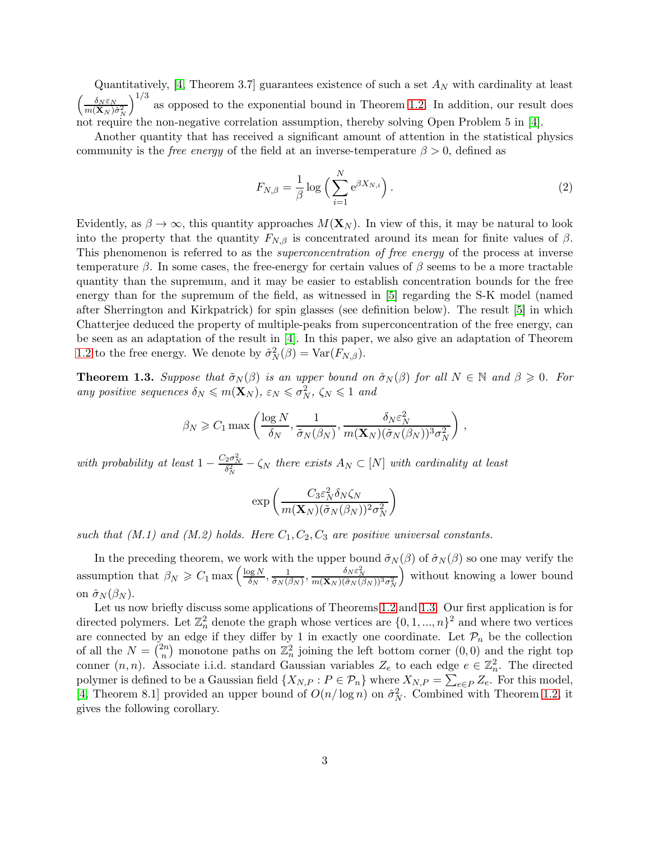Quantitatively, [\[4,](#page-23-4) Theorem 3.7] guarantees existence of such a set  $A_N$  with cardinality at least  $\left(\frac{\delta_N \varepsilon_N}{m(\mathbf{X}_N) \hat{\sigma}_N^2}\right)$  $1/3$ as opposed to the exponential bound in Theorem [1.2.](#page-1-1) In addition, our result does not require the non-negative correlation assumption, thereby solving Open Problem 5 in [\[4\]](#page-23-4).

Another quantity that has received a significant amount of attention in the statistical physics community is the *free energy* of the field at an inverse-temperature  $\beta > 0$ , defined as

$$
F_{N,\beta} = \frac{1}{\beta} \log \left( \sum_{i=1}^{N} e^{\beta X_{N,i}} \right).
$$
 (2)

Evidently, as  $\beta \to \infty$ , this quantity approaches  $M(\mathbf{X}_N)$ . In view of this, it may be natural to look into the property that the quantity  $F_{N,\beta}$  is concentrated around its mean for finite values of  $\beta$ . This phenomenon is referred to as the *superconcentration of free energy* of the process at inverse temperature  $\beta$ . In some cases, the free-energy for certain values of  $\beta$  seems to be a more tractable quantity than the supremum, and it may be easier to establish concentration bounds for the free energy than for the supremum of the field, as witnessed in [\[5\]](#page-23-5) regarding the S-K model (named after Sherrington and Kirkpatrick) for spin glasses (see definition below). The result [\[5\]](#page-23-5) in which Chatterjee deduced the property of multiple-peaks from superconcentration of the free energy, can be seen as an adaptation of the result in [\[4\]](#page-23-4). In this paper, we also give an adaptation of Theorem [1.2](#page-1-1) to the free energy. We denote by  $\hat{\sigma}_N^2(\beta) = \text{Var}(F_{N,\beta})$ .

<span id="page-2-0"></span>**Theorem 1.3.** *Suppose that*  $\tilde{\sigma}_N(\beta)$  *is an upper bound on*  $\hat{\sigma}_N(\beta)$  *for all*  $N \in \mathbb{N}$  *and*  $\beta \geq 0$ *. For any positive sequences*  $\delta_N \leqslant m(\mathbf{X}_N)$ ,  $\varepsilon_N \leqslant \sigma_N^2$ ,  $\zeta_N \leqslant 1$  *and* 

$$
\beta_N \geq C_1 \max \left( \frac{\log N}{\delta_N}, \frac{1}{\tilde{\sigma}_N(\beta_N)}, \frac{\delta_N \varepsilon_N^2}{m(\mathbf{X}_N)(\tilde{\sigma}_N(\beta_N))^3 \sigma_N^2} \right),
$$

*with probability at least*  $1 - \frac{C_2 \sigma_N^2}{\delta_N^2} - \zeta_N$  *there exists*  $A_N \subset [N]$  *with cardinality at least* 

$$
\exp\left(\frac{C_3\varepsilon_N^2\delta_N\zeta_N}{m(\mathbf{X}_N)(\tilde{\sigma}_N(\beta_N))^2\sigma_N^2}\right)
$$

such that  $(M.1)$  and  $(M.2)$  holds. Here  $C_1, C_2, C_3$  are positive universal constants.

In the preceding theorem, we work with the upper bound  $\tilde{\sigma}_N(\beta)$  of  $\hat{\sigma}_N(\beta)$  so one may verify the assumption that  $\beta_N \geqslant C_1 \max \left( \frac{\log N}{\delta_N} \right)$  $\frac{\log N}{\delta_N}, \frac{1}{\tilde{\sigma}_N(\beta)}$  $\frac{1}{\tilde{\sigma}_N(\beta_N)}, \frac{\delta_N \varepsilon_N^2}{m(\mathbf{X}_N)(\tilde{\sigma}_N(\beta_N))^3 \sigma_N^2}$  without knowing a lower bound on  $\hat{\sigma}_N(\beta_N)$ .

Let us now briefly discuss some applications of Theorems [1.2](#page-1-1) and [1.3.](#page-2-0) Our first application is for directed polymers. Let  $\mathbb{Z}_n^2$  denote the graph whose vertices are  $\{0, 1, ..., n\}^2$  and where two vertices are connected by an edge if they differ by 1 in exactly one coordinate. Let  $\mathcal{P}_n$  be the collection of all the  $N = \binom{2n}{n}$  $\binom{2n}{n}$  monotone paths on  $\mathbb{Z}_n^2$  joining the left bottom corner  $(0,0)$  and the right top conner  $(n, n)$ . Associate i.i.d. standard Gaussian variables  $Z_e$  to each edge  $e \in \mathbb{Z}_n^2$ . The directed polymer is defined to be a Gaussian field  $\{X_{N,P} : P \in \mathcal{P}_n\}$  where  $X_{N,P} = \sum_{e \in P} Z_e$ . For this model, [\[4,](#page-23-4) Theorem 8.1] provided an upper bound of  $O(n/\log n)$  on  $\hat{\sigma}_N^2$ . Combined with Theorem [1.2,](#page-1-1) it gives the following corollary.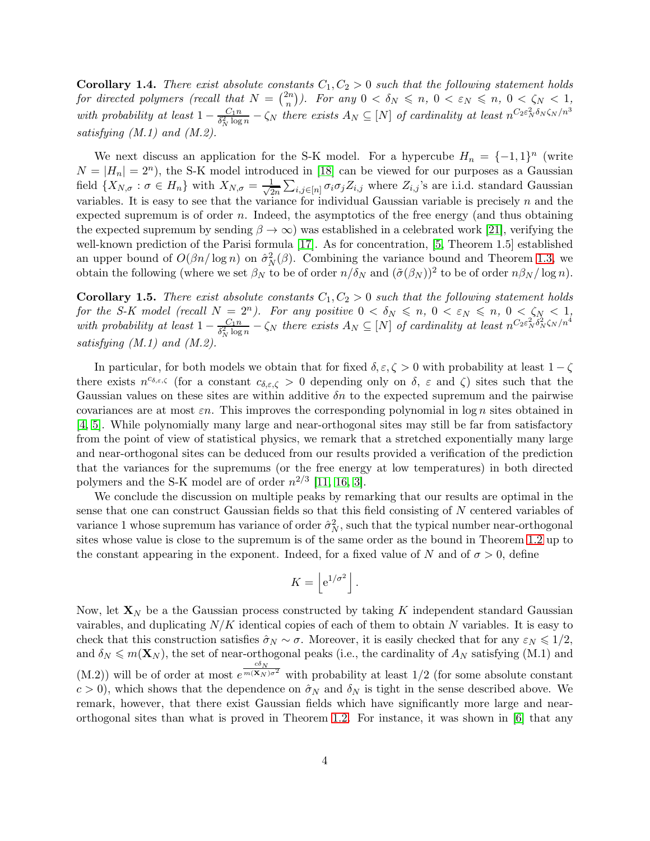**Corollary 1.4.** *There exist absolute constants*  $C_1, C_2 > 0$  *such that the following statement holds* for directed polymers (recall that  $N = \binom{2n}{n}$  $\binom{2n}{n}$ . For any  $0 < \delta_N \leq n, 0 < \varepsilon_N \leq n, 0 < \zeta_N < 1,$ *with probability at least*  $1 - \frac{C_1 n}{\delta_N^2 \log n}$  $\frac{C_1 n}{\delta_N^2 \log n} - \zeta_N$  there exists  $A_N \subseteq [N]$  of cardinality at least  $n^{C_2 \varepsilon_N^2 \delta_N \zeta_N/n^3}$ *satisfying (M.1) and (M.2).*

We next discuss an application for the S-K model. For a hypercube  $H_n = \{-1, 1\}^n$  (write  $N = |H_n| = 2^n$ , the S-K model introduced in [\[18\]](#page-24-1) can be viewed for our purposes as a Gaussian field  $\{X_{N,\sigma} : \sigma \in H_n\}$  with  $X_{N,\sigma} = \frac{1}{\sqrt{2}}$  $\frac{1}{2n}\sum_{i,j\in[n]}\sigma_i\sigma_jZ_{i,j}$  where  $Z_{i,j}$ 's are i.i.d. standard Gaussian variables. It is easy to see that the variance for individual Gaussian variable is precisely  $n$  and the expected supremum is of order n. Indeed, the asymptotics of the free energy (and thus obtaining the expected supremum by sending  $\beta \to \infty$ ) was established in a celebrated work [\[21\]](#page-24-2), verifying the well-known prediction of the Parisi formula [\[17\]](#page-23-6). As for concentration, [\[5,](#page-23-5) Theorem 1.5] established an upper bound of  $O(\beta n/\log n)$  on  $\hat{\sigma}_N^2(\beta)$ . Combining the variance bound and Theorem [1.3,](#page-2-0) we obtain the following (where we set  $\beta_N$  to be of order  $n/\delta_N$  and  $(\tilde{\sigma}(\beta_N))^2$  to be of order  $n\beta_N/\log n$ ).

**Corollary 1.5.** *There exist absolute constants*  $C_1, C_2 > 0$  *such that the following statement holds for the S-K model (recall*  $N = 2^n$ ). For any positive  $0 < \delta_N \leq n$ ,  $0 < \varepsilon_N \leq n$ ,  $0 < \zeta_N < 1$ , *with probability at least*  $1 - \frac{C_1 n}{\delta_N^2 \log n}$  $\frac{C_1 n}{\delta_N^2 \log n} - \zeta_N$  there exists  $A_N \subseteq [N]$  of cardinality at least  $n^{C_2 \varepsilon_N^2 \delta_N^2 \zeta_N / n^4}$ *satisfying (M.1) and (M.2).*

In particular, for both models we obtain that for fixed  $\delta, \epsilon, \zeta > 0$  with probability at least  $1 - \zeta$ there exists  $n^{c_{\delta,\varepsilon,\zeta}}$  (for a constant  $c_{\delta,\varepsilon,\zeta} > 0$  depending only on  $\delta, \varepsilon$  and  $\zeta$ ) sites such that the Gaussian values on these sites are within additive  $\delta n$  to the expected supremum and the pairwise covariances are at most  $\varepsilon n$ . This improves the corresponding polynomial in log n sites obtained in [\[4,](#page-23-4) [5\]](#page-23-5). While polynomially many large and near-orthogonal sites may still be far from satisfactory from the point of view of statistical physics, we remark that a stretched exponentially many large and near-orthogonal sites can be deduced from our results provided a verification of the prediction that the variances for the supremums (or the free energy at low temperatures) in both directed polymers and the S-K model are of order  $n^{2/3}$  [\[11,](#page-23-2) [16,](#page-23-7) [3\]](#page-23-8).

We conclude the discussion on multiple peaks by remarking that our results are optimal in the sense that one can construct Gaussian fields so that this field consisting of N centered variables of variance 1 whose supremum has variance of order  $\hat{\sigma}_N^2$ , such that the typical number near-orthogonal sites whose value is close to the supremum is of the same order as the bound in Theorem [1.2](#page-1-1) up to the constant appearing in the exponent. Indeed, for a fixed value of N and of  $\sigma > 0$ , define

$$
K = \left[ e^{1/\sigma^2} \right].
$$

Now, let  $\mathbf{X}_N$  be a the Gaussian process constructed by taking K independent standard Gaussian vairables, and duplicating  $N/K$  identical copies of each of them to obtain N variables. It is easy to check that this construction satisfies  $\hat{\sigma}_N \sim \sigma$ . Moreover, it is easily checked that for any  $\varepsilon_N \leq 1/2$ , and  $\delta_N \leq m(\mathbf{X}_N)$ , the set of near-orthogonal peaks (i.e., the cardinality of  $A_N$  satisfying (M.1) and  $(M.2)$ ) will be of order at most e  $\frac{c\delta_N}{m(\mathbf{X}_N)\sigma^2}$  with probability at least 1/2 (for some absolute constant  $c > 0$ , which shows that the dependence on  $\hat{\sigma}_N$  and  $\delta_N$  is tight in the sense described above. We remark, however, that there exist Gaussian fields which have significantly more large and nearorthogonal sites than what is proved in Theorem [1.2.](#page-1-1) For instance, it was shown in [\[6\]](#page-23-9) that any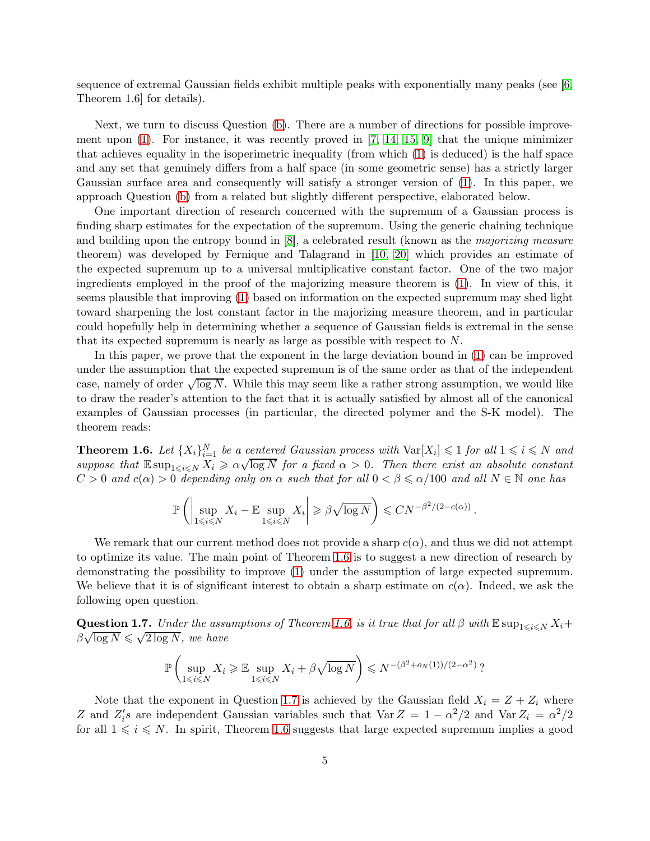sequence of extremal Gaussian fields exhibit multiple peaks with exponentially many peaks (see [\[6,](#page-23-9) Theorem 1.6] for details).

Next, we turn to discuss Question [\(b\)](#page-1-2). There are a number of directions for possible improvement upon  $(1)$ . For instance, it was recently proved in [\[7,](#page-23-10) [14,](#page-23-11) [15,](#page-23-12) [9\]](#page-23-13) that the unique minimizer that achieves equality in the isoperimetric inequality (from which [\(1\)](#page-0-0) is deduced) is the half space and any set that genuinely differs from a half space (in some geometric sense) has a strictly larger Gaussian surface area and consequently will satisfy a stronger version of [\(1\)](#page-0-0). In this paper, we approach Question [\(b\)](#page-1-2) from a related but slightly different perspective, elaborated below.

One important direction of research concerned with the supremum of a Gaussian process is finding sharp estimates for the expectation of the supremum. Using the generic chaining technique and building upon the entropy bound in [\[8\]](#page-23-14), a celebrated result (known as the *majorizing measure* theorem) was developed by Fernique and Talagrand in [\[10,](#page-23-15) [20\]](#page-24-3) which provides an estimate of the expected supremum up to a universal multiplicative constant factor. One of the two major ingredients employed in the proof of the majorizing measure theorem is [\(1\)](#page-0-0). In view of this, it seems plausible that improving [\(1\)](#page-0-0) based on information on the expected supremum may shed light toward sharpening the lost constant factor in the majorizing measure theorem, and in particular could hopefully help in determining whether a sequence of Gaussian fields is extremal in the sense that its expected supremum is nearly as large as possible with respect to N.

In this paper, we prove that the exponent in the large deviation bound in [\(1\)](#page-0-0) can be improved under the assumption that the expected supremum is of the same order as that of the independent case, namely of order  $\sqrt{\log N}$ . While this may seem like a rather strong assumption, we would like to draw the reader's attention to the fact that it is actually satisfied by almost all of the canonical examples of Gaussian processes (in particular, the directed polymer and the S-K model). The theorem reads:

<span id="page-4-0"></span>**Theorem 1.6.** Let  $\{X_i\}_{i=1}^N$  be a centered Gaussian process with  $\text{Var}[X_i] \leq 1$  for all  $1 \leq i \leq N$  and *suppose that*  $\mathbb{E} \sup_{1 \le i \le N} X_i \ge \alpha \sqrt{\log N}$  *for a fixed*  $\alpha > 0$ . Then there exist an absolute constant  $C > 0$  *and*  $c(\alpha) > 0$  *depending only on*  $\alpha$  *such that for all*  $0 < \beta \leq \alpha/100$  *and all*  $N \in \mathbb{N}$  *one has* 

$$
\mathbb{P}\left(\left|\sup_{1\leqslant i\leqslant N}X_i-\mathbb{E}\sup_{1\leqslant i\leqslant N}X_i\right|\geqslant \beta\sqrt{\log N}\right)\leqslant CN^{-\beta^2/(2-c(\alpha))}.
$$

We remark that our current method does not provide a sharp  $c(\alpha)$ , and thus we did not attempt to optimize its value. The main point of Theorem [1.6](#page-4-0) is to suggest a new direction of research by demonstrating the possibility to improve [\(1\)](#page-0-0) under the assumption of large expected supremum. We believe that it is of significant interest to obtain a sharp estimate on  $c(\alpha)$ . Indeed, we ask the following open question.

<span id="page-4-1"></span>**Question 1.7.** *Under the assumptions of Theorem [1.6,](#page-4-0) is it true that for all*  $\beta$  *with*  $\mathbb{E} \sup_{1 \leq i \leq N} X_i +$  $\beta\sqrt{\log N} \leqslant \sqrt{2\log N}$ , we have

$$
\mathbb{P}\left(\sup_{1\leq i\leq N} X_i \geq \mathbb{E}\sup_{1\leq i\leq N} X_i + \beta \sqrt{\log N}\right) \leq N^{-(\beta^2 + o_N(1))/(2-\alpha^2)}?
$$

Note that the exponent in Question [1.7](#page-4-1) is achieved by the Gaussian field  $X_i = Z + Z_i$  where Z and  $Z_i$ 's are independent Gaussian variables such that Var  $Z = 1 - \alpha^2/2$  and Var  $Z_i = \alpha^2/2$ for all  $1 \leq i \leq N$ . In spirit, Theorem [1.6](#page-4-0) suggests that large expected supremum implies a good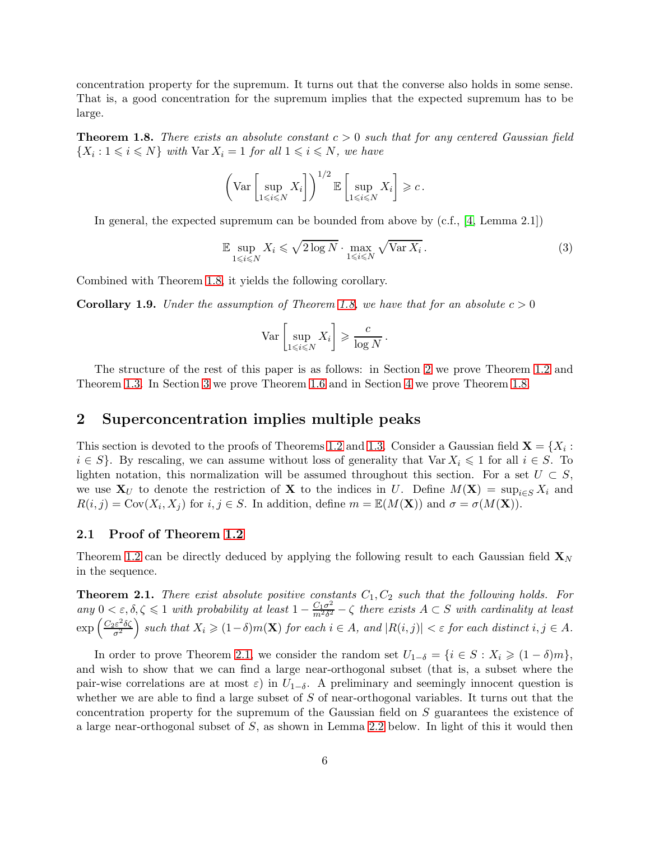concentration property for the supremum. It turns out that the converse also holds in some sense. That is, a good concentration for the supremum implies that the expected supremum has to be large.

<span id="page-5-0"></span>**Theorem 1.8.** *There exists an absolute constant*  $c > 0$  *such that for any centered Gaussian field*  $\{X_i : 1 \leq i \leq N\}$  with  $\text{Var } X_i = 1$  for all  $1 \leq i \leq N$ , we have

$$
\left(\text{Var}\left[\sup_{1\leq i\leq N}X_i\right]\right)^{1/2}\mathbb{E}\left[\sup_{1\leq i\leq N}X_i\right]\geqslant c.
$$

In general, the expected supremum can be bounded from above by (c.f., [\[4,](#page-23-4) Lemma 2.1])

<span id="page-5-3"></span>
$$
\mathbb{E} \sup_{1 \le i \le N} X_i \le \sqrt{2 \log N} \cdot \max_{1 \le i \le N} \sqrt{\text{Var } X_i} \,. \tag{3}
$$

Combined with Theorem [1.8,](#page-5-0) it yields the following corollary.

**Corollary 1.9.** *Under the assumption of Theorem [1.8,](#page-5-0) we have that for an absolute*  $c > 0$ 

$$
\text{Var}\left[\sup_{1\leq i\leq N} X_i\right] \geqslant \frac{c}{\log N} \, .
$$

The structure of the rest of this paper is as follows: in Section [2](#page-5-1) we prove Theorem [1.2](#page-1-1) and Theorem [1.3.](#page-2-0) In Section [3](#page-15-0) we prove Theorem [1.6](#page-4-0) and in Section [4](#page-20-0) we prove Theorem [1.8.](#page-5-0)

### <span id="page-5-1"></span>2 Superconcentration implies multiple peaks

This section is devoted to the proofs of Theorems [1.2](#page-1-1) and [1.3.](#page-2-0) Consider a Gaussian field  $\mathbf{X} = \{X_i :$  $i \in S$ . By rescaling, we can assume without loss of generality that Var  $X_i \leq 1$  for all  $i \in S$ . To lighten notation, this normalization will be assumed throughout this section. For a set  $U \subset S$ , we use  $X_U$  to denote the restriction of X to the indices in U. Define  $M(X) = \sup_{i \in S} X_i$  and  $R(i, j) = \text{Cov}(X_i, X_j)$  for  $i, j \in S$ . In addition, define  $m = \mathbb{E}(M(\mathbf{X}))$  and  $\sigma = \sigma(M(\mathbf{X})).$ 

#### 2.1 Proof of Theorem [1.2](#page-1-1)

Theorem [1.2](#page-1-1) can be directly deduced by applying the following result to each Gaussian field  $\mathbf{X}_N$ in the sequence.

<span id="page-5-2"></span>**Theorem 2.1.** *There exist absolute positive constants*  $C_1, C_2$  *such that the following holds. For any*  $0 < \varepsilon, \delta, \zeta \leq 1$  *with probability at least*  $1 - \frac{C_1 \sigma^2}{m^2 \delta^2}$  $\frac{C_1\sigma^2}{m^2\delta^2} - \zeta$  there exists  $A \subset S$  with cardinality at least  $\exp\left(\frac{C_2\varepsilon^2 \delta \zeta}{\sigma^2}\right)$  $\left(\frac{\partial \varepsilon^2 \delta \zeta}{\sigma^2}\right)$  such that  $X_i \geqslant (1-\delta)m(\mathbf{X})$  for each  $i \in A$ , and  $|R(i,j)| < \varepsilon$  for each distinct  $i, j \in A$ .

In order to prove Theorem [2.1,](#page-5-2) we consider the random set  $U_{1-\delta} = \{i \in S : X_i \geq (1-\delta)m\}$ , and wish to show that we can find a large near-orthogonal subset (that is, a subset where the pair-wise correlations are at most  $\varepsilon$ ) in  $U_{1-\delta}$ . A preliminary and seemingly innocent question is whether we are able to find a large subset of  $S$  of near-orthogonal variables. It turns out that the concentration property for the supremum of the Gaussian field on S guarantees the existence of a large near-orthogonal subset of S, as shown in Lemma [2.2](#page-6-0) below. In light of this it would then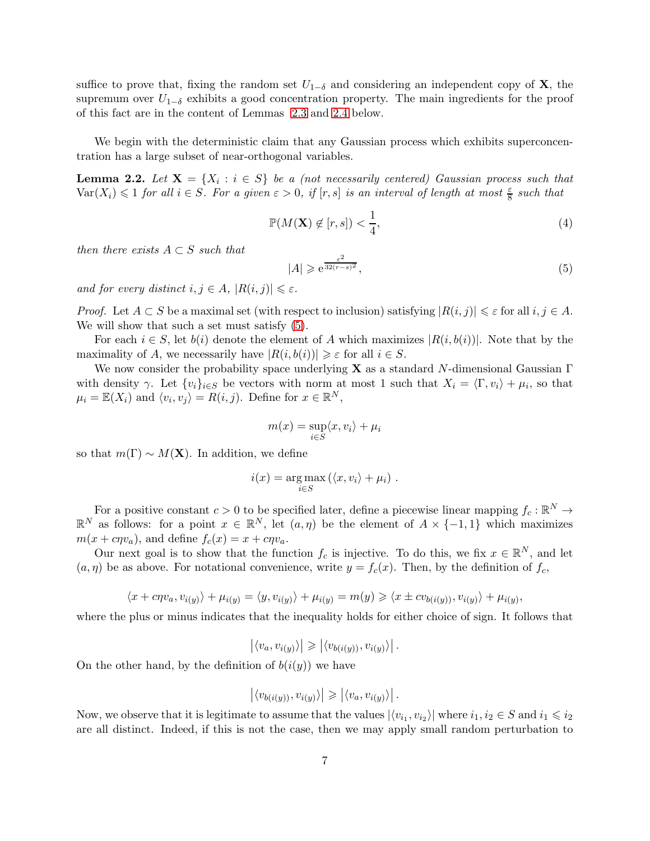suffice to prove that, fixing the random set  $U_{1-\delta}$  and considering an independent copy of **X**, the supremum over  $U_{1-\delta}$  exhibits a good concentration property. The main ingredients for the proof of this fact are in the content of Lemmas [2.3](#page-8-0) and [2.4](#page-8-1) below.

We begin with the deterministic claim that any Gaussian process which exhibits superconcentration has a large subset of near-orthogonal variables.

<span id="page-6-0"></span>**Lemma 2.2.** Let  $X = \{X_i : i \in S\}$  be a (not necessarily centered) Gaussian process such that  $\text{Var}(X_i) \leq 1$  *for all*  $i \in S$ . For a given  $\varepsilon > 0$ , if  $[r, s]$  is an interval of length at most  $\frac{\varepsilon}{8}$  such that

<span id="page-6-2"></span>
$$
\mathbb{P}(M(\mathbf{X}) \not\in [r, s]) < \frac{1}{4},\tag{4}
$$

*then there exists*  $A \subset S$  *such that* 

<span id="page-6-1"></span>
$$
|A| \geq e^{\frac{\varepsilon^2}{32(r-s)^2}},\tag{5}
$$

*and for every distinct*  $i, j \in A$ ,  $|R(i, j)| \leq \varepsilon$ *.* 

*Proof.* Let  $A \subset S$  be a maximal set (with respect to inclusion) satisfying  $|R(i, j)| \leq \varepsilon$  for all  $i, j \in A$ . We will show that such a set must satisfy [\(5\)](#page-6-1).

For each  $i \in S$ , let  $b(i)$  denote the element of A which maximizes  $|R(i, b(i))|$ . Note that by the maximality of A, we necessarily have  $|R(i, b(i))| \geq \varepsilon$  for all  $i \in S$ .

We now consider the probability space underlying **X** as a standard N-dimensional Gaussian  $\Gamma$ with density  $\gamma$ . Let  $\{v_i\}_{i\in S}$  be vectors with norm at most 1 such that  $X_i = \langle \Gamma, v_i \rangle + \mu_i$ , so that  $\mu_i = \mathbb{E}(X_i)$  and  $\langle v_i, v_j \rangle = R(i, j)$ . Define for  $x \in \mathbb{R}^N$ ,

$$
m(x) = \sup_{i \in S} \langle x, v_i \rangle + \mu_i
$$

so that  $m(\Gamma) \sim M(\mathbf{X})$ . In addition, we define

$$
i(x) = \underset{i \in S}{\arg \max} (\langle x, v_i \rangle + \mu_i) .
$$

For a positive constant  $c > 0$  to be specified later, define a piecewise linear mapping  $f_c : \mathbb{R}^N \to$  $\mathbb{R}^N$  as follows: for a point  $x \in \mathbb{R}^N$ , let  $(a, \eta)$  be the element of  $A \times \{-1, 1\}$  which maximizes  $m(x + c\eta v_a)$ , and define  $f_c(x) = x + c\eta v_a$ .

Our next goal is to show that the function  $f_c$  is injective. To do this, we fix  $x \in \mathbb{R}^N$ , and let  $(a, \eta)$  be as above. For notational convenience, write  $y = f_c(x)$ . Then, by the definition of  $f_c$ ,

$$
\langle x + c\eta v_a, v_{i(y)} \rangle + \mu_{i(y)} = \langle y, v_{i(y)} \rangle + \mu_{i(y)} = m(y) \geq \langle x \pm c v_{b(i(y))}, v_{i(y)} \rangle + \mu_{i(y)},
$$

where the plus or minus indicates that the inequality holds for either choice of sign. It follows that

$$
\left| \langle v_a, v_{i(y)} \rangle \right| \geqslant \left| \langle v_{b(i(y))}, v_{i(y)} \rangle \right|.
$$

On the other hand, by the definition of  $b(i(y))$  we have

$$
\left| \langle v_{b(i(y))}, v_{i(y)} \rangle \right| \geqslant \left| \langle v_a, v_{i(y)} \rangle \right|.
$$

Now, we observe that it is legitimate to assume that the values  $|\langle v_{i_1}, v_{i_2} \rangle|$  where  $i_1, i_2 \in S$  and  $i_1 \leq i_2$ are all distinct. Indeed, if this is not the case, then we may apply small random perturbation to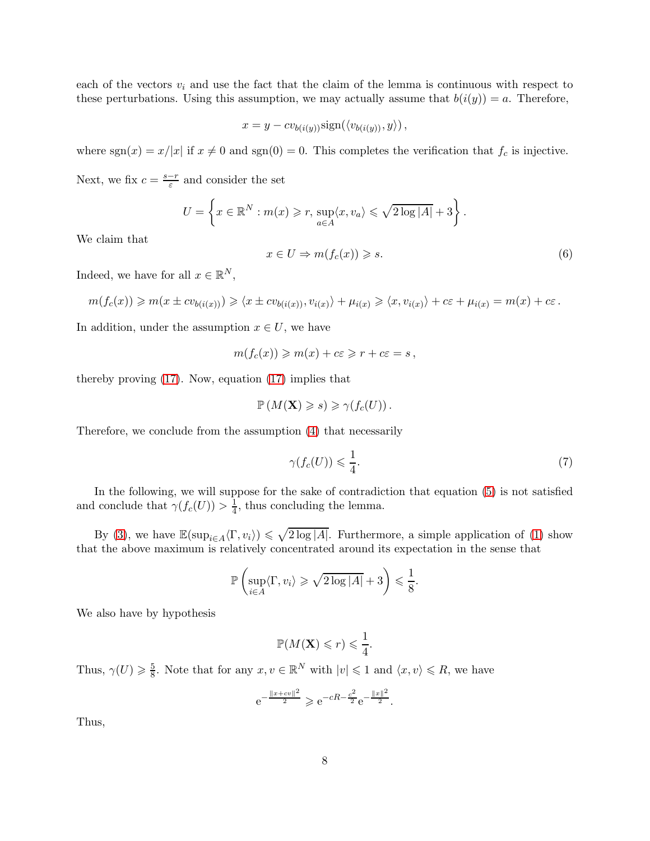each of the vectors  $v_i$  and use the fact that the claim of the lemma is continuous with respect to these perturbations. Using this assumption, we may actually assume that  $b(i(y)) = a$ . Therefore,

$$
x = y - cv_{b(i(y))}\text{sign}(\langle v_{b(i(y))}, y \rangle),
$$

where  $sgn(x) = x/|x|$  if  $x \neq 0$  and  $sgn(0) = 0$ . This completes the verification that  $f_c$  is injective.

Next, we fix  $c = \frac{s-r}{\varepsilon}$  and consider the set

$$
U = \left\{ x \in \mathbb{R}^N : m(x) \geqslant r, \, \sup_{a \in A} \langle x, v_a \rangle \leqslant \sqrt{2 \log |A|} + 3 \right\}.
$$

We claim that

$$
x \in U \Rightarrow m(f_c(x)) \ge s. \tag{6}
$$

Indeed, we have for all  $x \in \mathbb{R}^N$ ,

$$
m(f_c(x)) \geqslant m(x \pm c v_{b(i(x))}) \geqslant \langle x \pm c v_{b(i(x))}, v_{i(x)} \rangle + \mu_{i(x)} \geqslant \langle x, v_{i(x)} \rangle + c\varepsilon + \mu_{i(x)} = m(x) + c\varepsilon.
$$

In addition, under the assumption  $x \in U$ , we have

$$
m(f_c(x)) \geqslant m(x) + c\varepsilon \geqslant r + c\varepsilon = s \,,
$$

thereby proving [\(17\)](#page-13-0). Now, equation [\(17\)](#page-13-0) implies that

$$
\mathbb{P}\left(M(\mathbf{X})\geqslant s\right)\geqslant\gamma\bigl(f_c(U)\bigr)\,.
$$

Therefore, we conclude from the assumption [\(4\)](#page-6-2) that necessarily

<span id="page-7-0"></span>
$$
\gamma(f_c(U)) \leqslant \frac{1}{4}.\tag{7}
$$

In the following, we will suppose for the sake of contradiction that equation [\(5\)](#page-6-1) is not satisfied and conclude that  $\gamma(f_c(U)) > \frac{1}{4}$  $\frac{1}{4}$ , thus concluding the lemma.

By [\(3\)](#page-5-3), we have  $\mathbb{E}(\sup_{i\in A}\langle\Gamma,v_i\rangle) \leq \sqrt{2\log|A|}$ . Furthermore, a simple application of [\(1\)](#page-0-0) show that the above maximum is relatively concentrated around its expectation in the sense that

$$
\mathbb{P}\left(\sup_{i\in A}\langle\Gamma,v_i\rangle\geqslant\sqrt{2\log|A|}+3\right)\leqslant\frac{1}{8}.
$$

We also have by hypothesis

$$
\mathbb{P}(M(\mathbf{X})\leqslant r)\leqslant\frac{1}{4}.
$$

Thus,  $\gamma(U) \geqslant \frac{5}{8}$  $\frac{5}{8}$ . Note that for any  $x, v \in \mathbb{R}^N$  with  $|v| \leq 1$  and  $\langle x, v \rangle \leq R$ , we have

$$
e^{-\frac{||x+cv||^2}{2}} \geq e^{-cR-\frac{c^2}{2}}e^{-\frac{||x||^2}{2}}.
$$

Thus,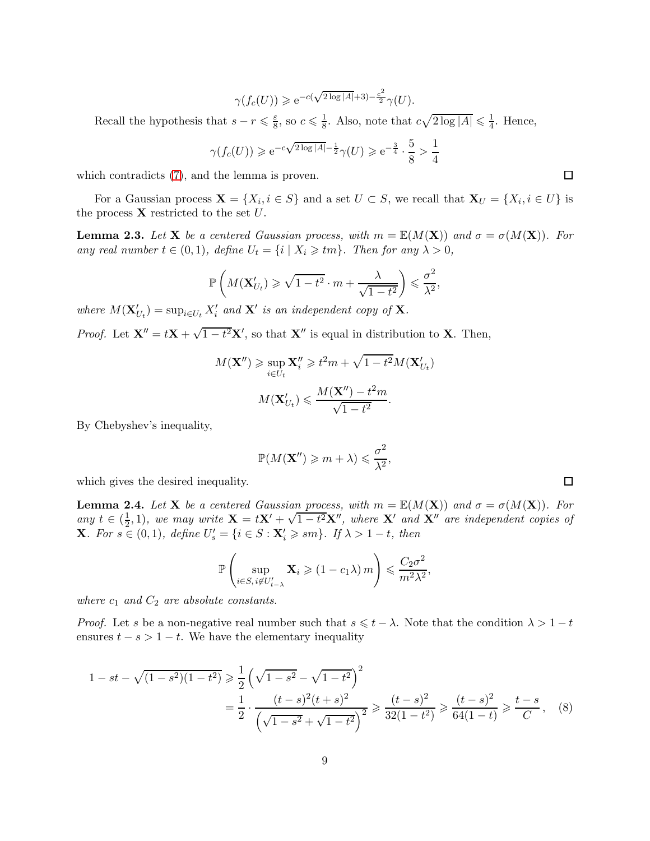$$
\gamma(f_c(U)) \geq e^{-c(\sqrt{2\log|A|}+3)-\frac{c^2}{2}}\gamma(U).
$$

Recall the hypothesis that  $s - r \leq \frac{\varepsilon}{8}$  $\frac{\varepsilon}{8}$ , so  $c \leqslant \frac{1}{8}$  $\frac{1}{8}$ . Also, note that  $c\sqrt{2\log|A|} \leq \frac{1}{4}$  $\frac{1}{4}$ . Hence,

$$
\gamma(f_c(U)) \geq e^{-c\sqrt{2\log|A|} - \frac{1}{2}}\gamma(U) \geq e^{-\frac{3}{4}} \cdot \frac{5}{8} > \frac{1}{4}
$$

which contradicts [\(7\)](#page-7-0), and the lemma is proven.

For a Gaussian process  $\mathbf{X} = \{X_i, i \in S\}$  and a set  $U \subset S$ , we recall that  $\mathbf{X}_U = \{X_i, i \in U\}$  is the process  $X$  restricted to the set  $U$ .

<span id="page-8-0"></span>**Lemma 2.3.** Let **X** be a centered Gaussian process, with  $m = \mathbb{E}(M(\mathbf{X}))$  and  $\sigma = \sigma(M(\mathbf{X}))$ . For *any real number*  $t \in (0,1)$ *, define*  $U_t = \{i \mid X_i \geq t_m\}$ *. Then for any*  $\lambda > 0$ *,* 

$$
\mathbb{P}\left(M(\mathbf{X}'_{U_t}) \geq \sqrt{1-t^2} \cdot m + \frac{\lambda}{\sqrt{1-t^2}}\right) \leq \frac{\sigma^2}{\lambda^2},
$$

*where*  $M(\mathbf{X}'_{U_t}) = \sup_{i \in U_t} X'_i$  and  $\mathbf{X}'$  is an independent copy of **X**.

*Proof.* Let  $X'' = tX + \sqrt{1 - t^2}X'$ , so that  $X''$  is equal in distribution to X. Then,

$$
M(\mathbf{X''}) \ge \sup_{i \in U_t} \mathbf{X''}_i \ge t^2 m + \sqrt{1 - t^2} M(\mathbf{X}'_{U_t})
$$

$$
M(\mathbf{X}'_{U_t}) \le \frac{M(\mathbf{X''}) - t^2 m}{\sqrt{1 - t^2}}.
$$

By Chebyshev's inequality,

$$
\mathbb{P}(M(\mathbf{X}^{\prime\prime})\geqslant m+\lambda)\leqslant \frac{\sigma^2}{\lambda^2},
$$

which gives the desired inequality.

<span id="page-8-1"></span>**Lemma 2.4.** Let **X** be a centered Gaussian process, with  $m = \mathbb{E}(M(\mathbf{X}))$  and  $\sigma = \sigma(M(\mathbf{X}))$ . For *any*  $t \in \left(\frac{1}{2}\right)$  $\frac{1}{2}$ , 1)*, we may write*  $\mathbf{X} = t\mathbf{X}' + \sqrt{1-t^2}\mathbf{X}''$ *, where*  $\mathbf{X}'$  *and*  $\mathbf{X}''$  *are independent copies of* **X***.* For  $s \in (0,1)$ , define  $U'_{s} = \{i \in S : \mathbf{X}'_{i} \geqslant sm\}$ . If  $\lambda > 1 - t$ , then

$$
\mathbb{P}\left(\sup_{i\in S,\,i\notin U'_{t-\lambda}}\mathbf{X}_i\geqslant(1-c_1\lambda)\,m\right)\leqslant\frac{C_2\sigma^2}{m^2\lambda^2},
$$

*where*  $c_1$  *and*  $C_2$  *are absolute constants.* 

*Proof.* Let s be a non-negative real number such that  $s \leq t - \lambda$ . Note that the condition  $\lambda > 1 - t$ ensures  $t - s > 1 - t$ . We have the elementary inequality

$$
1 - st - \sqrt{(1 - s^2)(1 - t^2)} \ge \frac{1}{2} \left( \sqrt{1 - s^2} - \sqrt{1 - t^2} \right)^2
$$
  
=  $\frac{1}{2} \cdot \frac{(t - s)^2 (t + s)^2}{\left( \sqrt{1 - s^2} + \sqrt{1 - t^2} \right)^2} \ge \frac{(t - s)^2}{32(1 - t^2)} \ge \frac{(t - s)^2}{64(1 - t)} \ge \frac{t - s}{C},$  (8)

<span id="page-8-2"></span>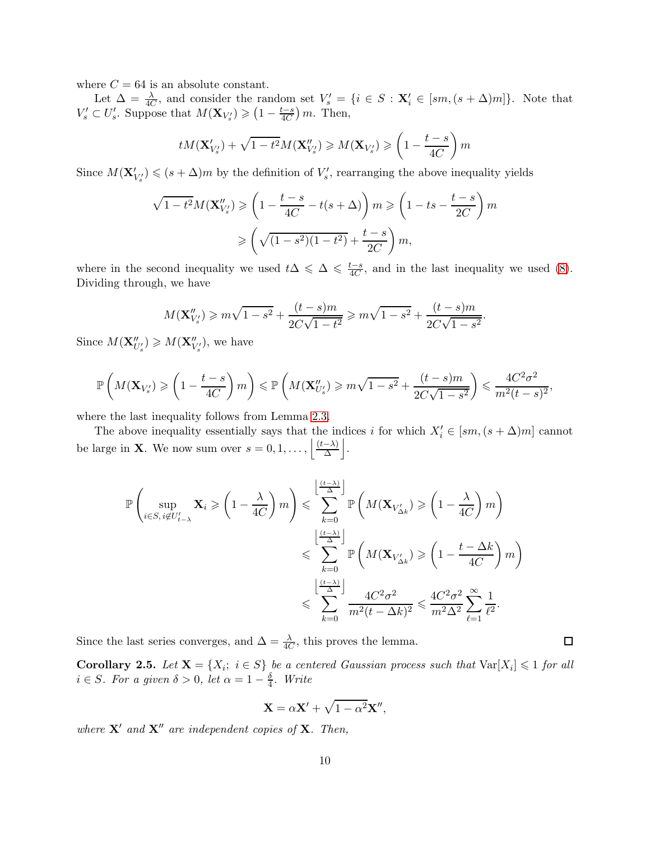where  $C = 64$  is an absolute constant.

Let  $\Delta = \frac{\lambda}{4C}$ , and consider the random set  $V_s' = \{i \in S : \mathbf{X}_i' \in [sm, (s + \Delta)m]\}\$ . Note that  $V'_{s} \subset U'_{s}$ . Suppose that  $M(\mathbf{X}_{V'_{s}}) \geq (1 - \frac{t-s}{4C}) m$ . Then,

$$
tM(\mathbf{X}'_{V'_s}) + \sqrt{1 - t^2}M(\mathbf{X}''_{V'_s}) \ge M(\mathbf{X}_{V'_s}) \ge \left(1 - \frac{t - s}{4C}\right)m
$$

Since  $M(\mathbf{X}'_{V'_s}) \leqslant (s + \Delta)m$  by the definition of  $V'_s$ , rearranging the above inequality yields

$$
\sqrt{1-t^2}M(\mathbf{X}_{V'_s}^{"}) \geq \left(1 - \frac{t-s}{4C} - t(s+\Delta)\right)m \geq \left(1 - ts - \frac{t-s}{2C}\right)m
$$

$$
\geq \left(\sqrt{(1-s^2)(1-t^2)} + \frac{t-s}{2C}\right)m,
$$

where in the second inequality we used  $t\Delta \leq \Delta \leq \frac{t-s}{4C}$ , and in the last inequality we used [\(8\)](#page-8-2). Dividing through, we have

$$
M(\mathbf{X}_{V'_s}^{"}) \geq m\sqrt{1-s^2} + \frac{(t-s)m}{2C\sqrt{1-t^2}} \geq m\sqrt{1-s^2} + \frac{(t-s)m}{2C\sqrt{1-s^2}}.
$$

Since  $M(\mathbf{X}''_{U'_s}) \geqslant M(\mathbf{X}''_{V'_s})$ , we have

$$
\mathbb{P}\left(M(\mathbf{X}_{V'_s})\geqslant\left(1-\frac{t-s}{4C}\right)m\right)\leqslant\mathbb{P}\left(M(\mathbf{X}_{U'_s}^{\prime\prime})\geqslant m\sqrt{1-s^2}+\frac{(t-s)m}{2C\sqrt{1-s^2}}\right)\leqslant\frac{4C^2\sigma^2}{m^2(t-s)^2},
$$

where the last inequality follows from Lemma [2.3.](#page-8-0)

The above inequality essentially says that the indices i for which  $X'_{i} \in [sm, (s + \Delta)m]$  cannot be large in **X**. We now sum over  $s = 0, 1, \ldots, \left| \frac{(t-\lambda)}{\Delta} \right|$ .

$$
\mathbb{P}\left(\sup_{i\in S,\,i\notin U'_{t-\lambda}}\mathbf{X}_i\geqslant\left(1-\frac{\lambda}{4C}\right)m\right)\leqslant\sum_{k=0}^{\left\lfloor\frac{(t-\lambda)}{\Delta}\right\rfloor}\mathbb{P}\left(M(\mathbf{X}_{V'_{\Delta k}})\geqslant\left(1-\frac{\lambda}{4C}\right)m\right)
$$

$$
\leqslant\sum_{k=0}^{\left\lfloor\frac{(t-\lambda)}{\Delta}\right\rfloor}\mathbb{P}\left(M(\mathbf{X}_{V'_{\Delta k}})\geqslant\left(1-\frac{t-\Delta k}{4C}\right)m\right)
$$

$$
\leqslant\sum_{k=0}^{\left\lfloor\frac{(t-\lambda)}{\Delta}\right\rfloor}\frac{4C^2\sigma^2}{m^2(t-\Delta k)^2}\leqslant\frac{4C^2\sigma^2}{m^2\Delta^2}\sum_{\ell=1}^{\infty}\frac{1}{\ell^2}.
$$

Since the last series converges, and  $\Delta = \frac{\lambda}{4C}$ , this proves the lemma.

<span id="page-9-0"></span>**Corollary 2.5.** Let  $X = \{X_i; i \in S\}$  be a centered Gaussian process such that  $Var[X_i] \leq 1$  for all  $i \in S$ *. For a given*  $\delta > 0$ , let  $\alpha = 1 - \frac{\delta}{4}$ 4 *. Write*

$$
\mathbf{X} = \alpha \mathbf{X}' + \sqrt{1 - \alpha^2} \mathbf{X}'',
$$

*where* X′ *and* X′′ *are independent copies of* X*. Then,*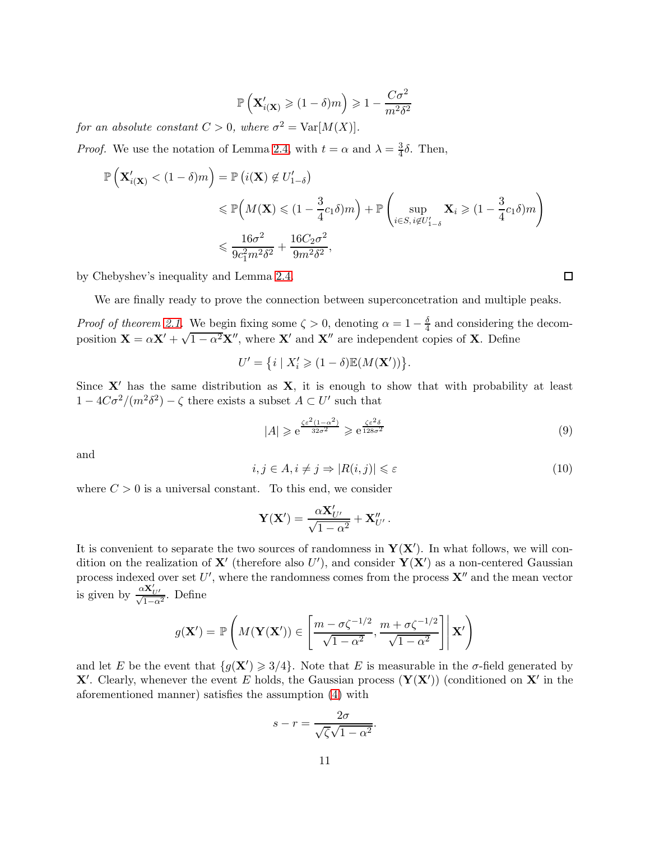$$
\mathbb{P}\left(\mathbf{X}'_{i(\mathbf{X})}\geqslant(1-\delta)m\right)\geqslant 1-\frac{C\sigma^2}{m^2\delta^2}
$$

*for an absolute constant*  $C > 0$ *, where*  $\sigma^2 = \text{Var}[M(X)]$ *.* 

*Proof.* We use the notation of Lemma [2.4,](#page-8-1) with  $t = \alpha$  and  $\lambda = \frac{3}{4}$  $\frac{3}{4}\delta$ . Then,

$$
\mathbb{P}\left(\mathbf{X}'_{i(\mathbf{X})} < (1-\delta)m\right) = \mathbb{P}\left(i(\mathbf{X}) \notin U'_{1-\delta}\right)
$$
\n
$$
\leq \mathbb{P}\left(M(\mathbf{X}) \leq (1 - \frac{3}{4}c_1\delta)m\right) + \mathbb{P}\left(\sup_{i \in S, i \notin U'_{1-\delta}} \mathbf{X}_i \geq (1 - \frac{3}{4}c_1\delta)m\right)
$$
\n
$$
\leq \frac{16\sigma^2}{9c_1^2m^2\delta^2} + \frac{16C_2\sigma^2}{9m^2\delta^2},
$$

by Chebyshev's inequality and Lemma [2.4.](#page-8-1)

We are finally ready to prove the connection between superconcetration and multiple peaks.

*Proof of theorem [2.1.](#page-5-2)* We begin fixing some  $\zeta > 0$ , denoting  $\alpha = 1 - \frac{\delta}{4}$  $\frac{0}{4}$  and considering the decomposition  $\mathbf{X} = \alpha \mathbf{X}' + \sqrt{1 - \alpha^2} \mathbf{X}''$ , where  $\mathbf{X}'$  and  $\mathbf{X}''$  are independent copies of  $\mathbf{X}$ . Define

$$
U' = \{ i \mid X'_i \geqslant (1 - \delta) \mathbb{E}(M(\mathbf{X}')) \}.
$$

Since  $X'$  has the same distribution as  $X$ , it is enough to show that with probability at least  $1 - 4C\sigma^2/(m^2\delta^2) - \zeta$  there exists a subset  $A \subset U'$  such that

<span id="page-10-0"></span>
$$
|A| \geq e^{\frac{\zeta \varepsilon^2 (1 - \alpha^2)}{32\sigma^2}} \geq e^{\frac{\zeta \varepsilon^2 \delta}{128\sigma^2}}
$$
\n
$$
(9)
$$

and

<span id="page-10-1"></span>
$$
i, j \in A, i \neq j \Rightarrow |R(i, j)| \leq \varepsilon \tag{10}
$$

where  $C > 0$  is a universal constant. To this end, we consider

$$
\mathbf{Y}(\mathbf{X}') = \frac{\alpha \mathbf{X}'_{U'}}{\sqrt{1 - \alpha^2}} + \mathbf{X}''_{U'}.
$$

It is convenient to separate the two sources of randomness in  $Y(X')$ . In what follows, we will condition on the realization of  $X'$  (therefore also U'), and consider  $Y(X')$  as a non-centered Gaussian process indexed over set U', where the randomness comes from the process  $X''$  and the mean vector is given by  $\frac{\alpha \mathbf{X}'_{U'}}{\sqrt{1-\alpha^2}}$ . Define

$$
g(\mathbf{X}') = \mathbb{P}\left(M(\mathbf{Y}(\mathbf{X}')) \in \left[\frac{m - \sigma\zeta^{-1/2}}{\sqrt{1 - \alpha^2}}, \frac{m + \sigma\zeta^{-1/2}}{\sqrt{1 - \alpha^2}}\right] \middle| \mathbf{X}'\right)
$$

and let E be the event that  ${g(\mathbf{X}') \geq 3/4}$ . Note that E is measurable in the  $\sigma$ -field generated by X'. Clearly, whenever the event E holds, the Gaussian process  $(Y(X'))$  (conditioned on X' in the aforementioned manner) satisfies the assumption [\(4\)](#page-6-2) with

$$
s - r = \frac{2\sigma}{\sqrt{\zeta}\sqrt{1 - \alpha^2}}.
$$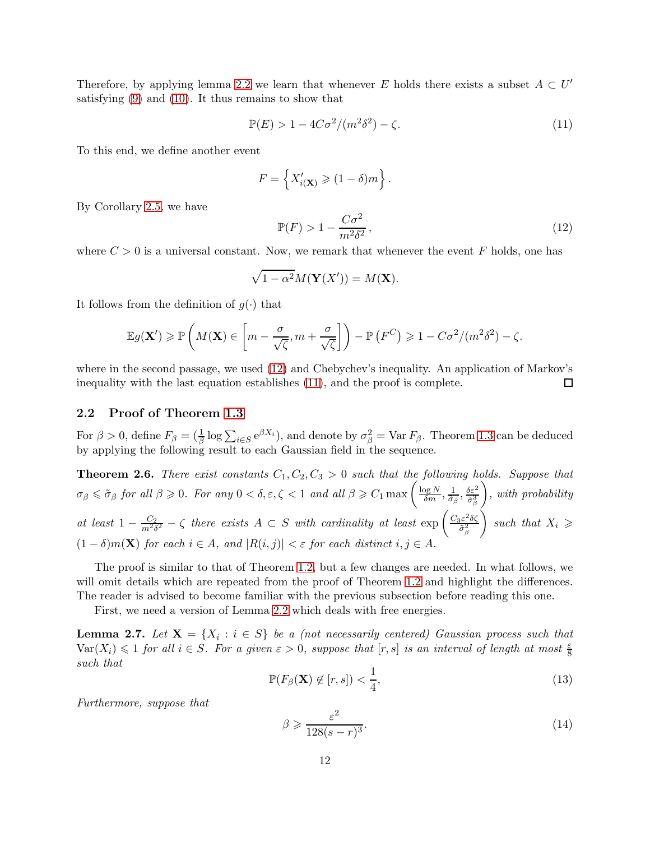Therefore, by applying lemma [2.2](#page-6-0) we learn that whenever E holds there exists a subset  $A \subset U'$ satisfying [\(9\)](#page-10-0) and [\(10\)](#page-10-1). It thus remains to show that

<span id="page-11-1"></span>
$$
\mathbb{P}(E) > 1 - 4C\sigma^2/(m^2\delta^2) - \zeta. \tag{11}
$$

To this end, we define another event

$$
F = \left\{ X'_{i(\mathbf{X})} \geqslant (1 - \delta)m \right\}.
$$

By Corollary [2.5,](#page-9-0) we have

<span id="page-11-0"></span>
$$
\mathbb{P}(F) > 1 - \frac{C\sigma^2}{m^2 \delta^2},\tag{12}
$$

where  $C > 0$  is a universal constant. Now, we remark that whenever the event F holds, one has

$$
\sqrt{1-\alpha^2}M(\mathbf{Y}(X')) = M(\mathbf{X}).
$$

It follows from the definition of  $g(\cdot)$  that

$$
\mathbb{E}g(\mathbf{X}') \geqslant \mathbb{P}\left(M(\mathbf{X})\in\left[m-\frac{\sigma}{\sqrt{\zeta}},m+\frac{\sigma}{\sqrt{\zeta}}\right]\right)-\mathbb{P}\left(F^C\right) \geqslant 1-C\sigma^2/(m^2\delta^2)-\zeta.
$$

where in the second passage, we used [\(12\)](#page-11-0) and Chebychev's inequality. An application of Markov's inequality with the last equation establishes [\(11\)](#page-11-1), and the proof is complete.  $\Box$ 

#### 2.2 Proof of Theorem [1.3](#page-2-0)

For  $\beta > 0$ , define  $F_{\beta} = (\frac{1}{\beta} \log \sum_{i \in S} e^{\beta X_i})$ , and denote by  $\sigma_{\beta}^2 = \text{Var } F_{\beta}$ . Theorem [1.3](#page-2-0) can be deduced by applying the following result to each Gaussian field in the sequence.

<span id="page-11-2"></span>**Theorem 2.6.** *There exist constants*  $C_1, C_2, C_3 > 0$  *such that the following holds. Suppose that*  $\sigma_{\beta} \leqslant \tilde{\sigma}_{\beta}$  for all  $\beta \geqslant 0$ . For any  $0 < \delta, \varepsilon, \zeta < 1$  and all  $\beta \geqslant C_1 \max\left(\frac{\log N}{\delta m}, \frac{1}{\tilde{\sigma}_{\beta}}\right)$  $\frac{1}{\tilde{\sigma}_{\beta}}, \frac{\delta \varepsilon^2}{\tilde{\sigma}_{\beta}^3}$  $\tilde{\sigma}^3_{\beta}$  *, with probability* at least  $1 - \frac{C_2}{m^2 \delta^2} - \zeta$  there exists  $A \subset S$  with cardinality at least  $\exp\left(\frac{C_3 \varepsilon^2 \delta \zeta}{\tilde{\sigma}_\varepsilon^2}\right)$  $\tilde{\sigma}^2_{\beta}$  $\Big\}$  such that  $X_i \geqslant$  $(1 - \delta)m(\mathbf{X})$  *for each*  $i \in A$ *, and*  $|R(i, j)| < \varepsilon$  *for each distinct*  $i, j \in A$ *.* 

The proof is similar to that of Theorem [1.2,](#page-1-1) but a few changes are needed. In what follows, we will omit details which are repeated from the proof of Theorem [1.2](#page-1-1) and highlight the differences. The reader is advised to become familiar with the previous subsection before reading this one.

First, we need a version of Lemma [2.2](#page-6-0) which deals with free energies.

<span id="page-11-3"></span>**Lemma 2.7.** Let  $X = \{X_i : i \in S\}$  be a (not necessarily centered) Gaussian process such that  $\text{Var}(X_i) \leq 1$  *for all*  $i \in S$ *. For a given*  $\varepsilon > 0$ *, suppose that*  $[r, s]$  *is an interval of length at most*  $\frac{\varepsilon}{8}$ *such that*

$$
\mathbb{P}(F_{\beta}(\mathbf{X}) \notin [r, s]) < \frac{1}{4},\tag{13}
$$

*Furthermore, suppose that*

$$
\beta \geqslant \frac{\varepsilon^2}{128(s-r)^3}.\tag{14}
$$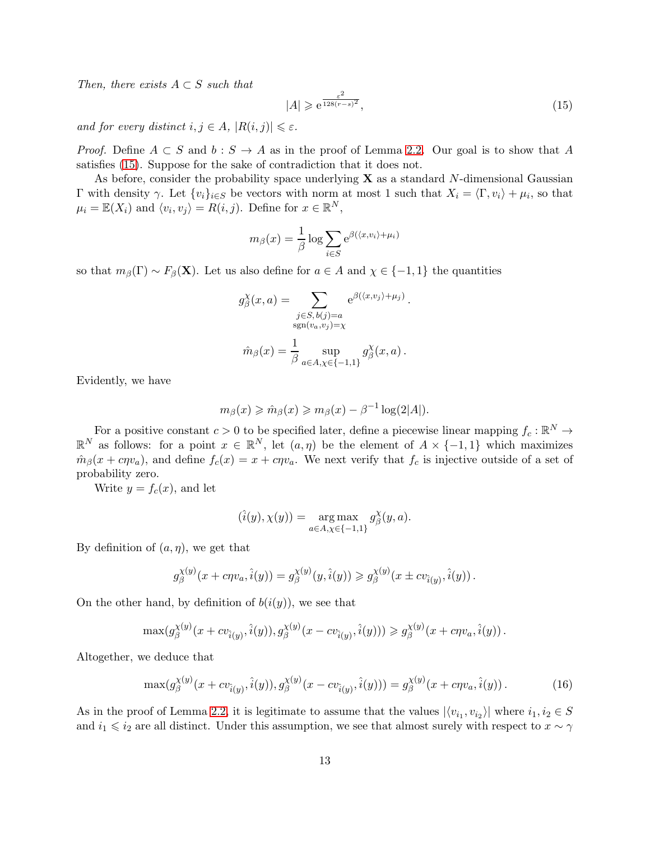*Then, there exists*  $A \subset S$  *such that* 

<span id="page-12-0"></span>
$$
|A| \geq e^{\frac{\varepsilon^2}{128(r-s)^2}},\tag{15}
$$

*and for every distinct*  $i, j \in A$ ,  $|R(i, j)| \leq \varepsilon$ *.* 

*Proof.* Define  $A \subset S$  and  $b : S \to A$  as in the proof of Lemma [2.2.](#page-6-0) Our goal is to show that A satisfies [\(15\)](#page-12-0). Suppose for the sake of contradiction that it does not.

As before, consider the probability space underlying  $X$  as a standard N-dimensional Gaussian  $Γ$  with density  $γ$ . Let  $\{v_i\}_{i \in S}$  be vectors with norm at most 1 such that  $X_i = \langle Γ, v_i \rangle + \mu_i$ , so that  $\mu_i = \mathbb{E}(X_i)$  and  $\langle v_i, v_j \rangle = R(i, j)$ . Define for  $x \in \mathbb{R}^N$ ,

$$
m_{\beta}(x) = \frac{1}{\beta} \log \sum_{i \in S} e^{\beta(\langle x, v_i \rangle + \mu_i)}
$$

so that  $m_\beta(\Gamma) \sim F_\beta(\mathbf{X})$ . Let us also define for  $a \in A$  and  $\chi \in \{-1,1\}$  the quantities

$$
g_{\beta}^{\chi}(x, a) = \sum_{\substack{j \in S, b(j) = a \\ \text{sgn}(v_a, v_j) = \chi}} e^{\beta(\langle x, v_j \rangle + \mu_j)}.
$$

$$
\hat{m}_{\beta}(x) = \frac{1}{\beta} \sup_{a \in A, \chi \in \{-1, 1\}} g_{\beta}^{\chi}(x, a).
$$

Evidently, we have

$$
m_{\beta}(x) \geq \hat{m}_{\beta}(x) \geq m_{\beta}(x) - \beta^{-1} \log(2|A|).
$$

For a positive constant  $c > 0$  to be specified later, define a piecewise linear mapping  $f_c : \mathbb{R}^N \to$  $\mathbb{R}^N$  as follows: for a point  $x \in \mathbb{R}^N$ , let  $(a, \eta)$  be the element of  $A \times \{-1, 1\}$  which maximizes  $\hat{m}_{\beta}(x + c\eta v_a)$ , and define  $f_c(x) = x + c\eta v_a$ . We next verify that  $f_c$  is injective outside of a set of probability zero.

Write  $y = f_c(x)$ , and let

$$
(\hat{i}(y), \chi(y)) = \underset{a \in A, \chi \in \{-1, 1\}}{\arg \max} g_{\beta}^{\chi}(y, a).
$$

By definition of  $(a, \eta)$ , we get that

$$
g_{\beta}^{\chi(y)}(x + c\eta v_a, \hat{i}(y)) = g_{\beta}^{\chi(y)}(y, \hat{i}(y)) \geq g_{\beta}^{\chi(y)}(x \pm c v_{\hat{i}(y)}, \hat{i}(y)).
$$

On the other hand, by definition of  $b(i(y))$ , we see that

$$
\max(g_{\beta}^{\chi(y)}(x+cv_{\hat{i}(y)},\hat{i}(y)), g_{\beta}^{\chi(y)}(x-cv_{\hat{i}(y)},\hat{i}(y))) \geq g_{\beta}^{\chi(y)}(x+c\eta v_a,\hat{i}(y)).
$$

Altogether, we deduce that

<span id="page-12-1"></span>
$$
\max(g_{\beta}^{\chi(y)}(x+cv_{\hat{i}(y)},\hat{i}(y)),g_{\beta}^{\chi(y)}(x-cv_{\hat{i}(y)},\hat{i}(y)))=g_{\beta}^{\chi(y)}(x+c\eta v_a,\hat{i}(y)).
$$
\n(16)

As in the proof of Lemma [2.2,](#page-6-0) it is legitimate to assume that the values  $|\langle v_{i_1}, v_{i_2} \rangle|$  where  $i_1, i_2 \in S$ and  $i_1 \leq i_2$  are all distinct. Under this assumption, we see that almost surely with respect to  $x \sim \gamma$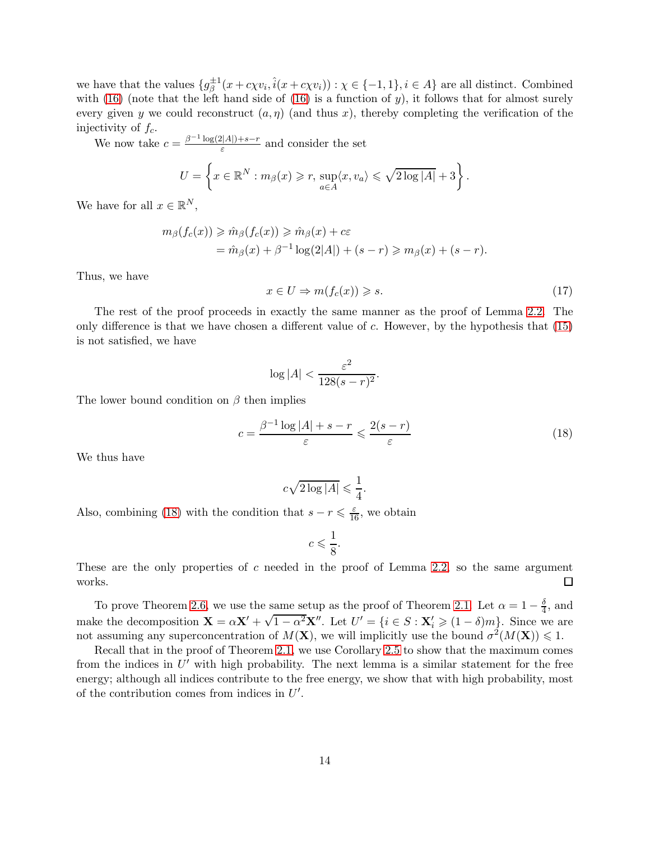we have that the values  $\{g_{\beta}^{\pm 1}(x + c\chi v_i, \hat{i}(x + c\chi v_i)) : \chi \in \{-1, 1\}, i \in A\}$  are all distinct. Combined with [\(16\)](#page-12-1) (note that the left hand side of (16) is a function of  $y$ ), it follows that for almost surely every given y we could reconstruct  $(a, \eta)$  (and thus x), thereby completing the verification of the injectivity of  $f_c$ .

We now take  $c = \frac{\beta^{-1} \log(2|A|) + s - r}{\varepsilon}$  and consider the set

$$
U = \left\{ x \in \mathbb{R}^N : m_\beta(x) \geq r, \, \sup_{a \in A} \langle x, v_a \rangle \leq \sqrt{2 \log |A|} + 3 \right\}.
$$

We have for all  $x \in \mathbb{R}^N$ ,

$$
m_{\beta}(f_c(x)) \geq \hat{m}_{\beta}(f_c(x)) \geq \hat{m}_{\beta}(x) + c\varepsilon
$$
  
=  $\hat{m}_{\beta}(x) + \beta^{-1} \log(2|A|) + (s - r) \geq m_{\beta}(x) + (s - r).$ 

Thus, we have

<span id="page-13-0"></span>
$$
x \in U \Rightarrow m(f_c(x)) \geq s. \tag{17}
$$

The rest of the proof proceeds in exactly the same manner as the proof of Lemma [2.2.](#page-6-0) The only difference is that we have chosen a different value of c. However, by the hypothesis that [\(15\)](#page-12-0) is not satisfied, we have

$$
\log|A| < \frac{\varepsilon^2}{128(s-r)^2}.
$$

The lower bound condition on  $\beta$  then implies

<span id="page-13-1"></span>
$$
c = \frac{\beta^{-1}\log|A| + s - r}{\varepsilon} \leqslant \frac{2(s - r)}{\varepsilon} \tag{18}
$$

We thus have

$$
c\sqrt{2\log|A|} \leqslant \frac{1}{4}.
$$

Also, combining [\(18\)](#page-13-1) with the condition that  $s - r \leq \frac{\varepsilon}{16}$ , we obtain

$$
c \leqslant \frac{1}{8}.
$$

These are the only properties of c needed in the proof of Lemma [2.2,](#page-6-0) so the same argument  $\Box$ works.

To prove Theorem [2.6,](#page-11-2) we use the same setup as the proof of Theorem [2.1.](#page-5-2) Let  $\alpha = 1 - \frac{\delta}{4}$  $\frac{0}{4}$ , and make the decomposition  $\mathbf{X} = \alpha \mathbf{X}' + \sqrt{1 - \alpha^2} \mathbf{X}''$ . Let  $U' = \{i \in S : \mathbf{X}'_i \geqslant (1 - \delta)m\}$ . Since we are not assuming any superconcentration of  $M(\mathbf{X})$ , we will implicitly use the bound  $\sigma^2(M(\mathbf{X})) \leq 1$ .

Recall that in the proof of Theorem [2.1,](#page-5-2) we use Corollary [2.5](#page-9-0) to show that the maximum comes from the indices in  $U'$  with high probability. The next lemma is a similar statement for the free energy; although all indices contribute to the free energy, we show that with high probability, most of the contribution comes from indices in  $U'$ .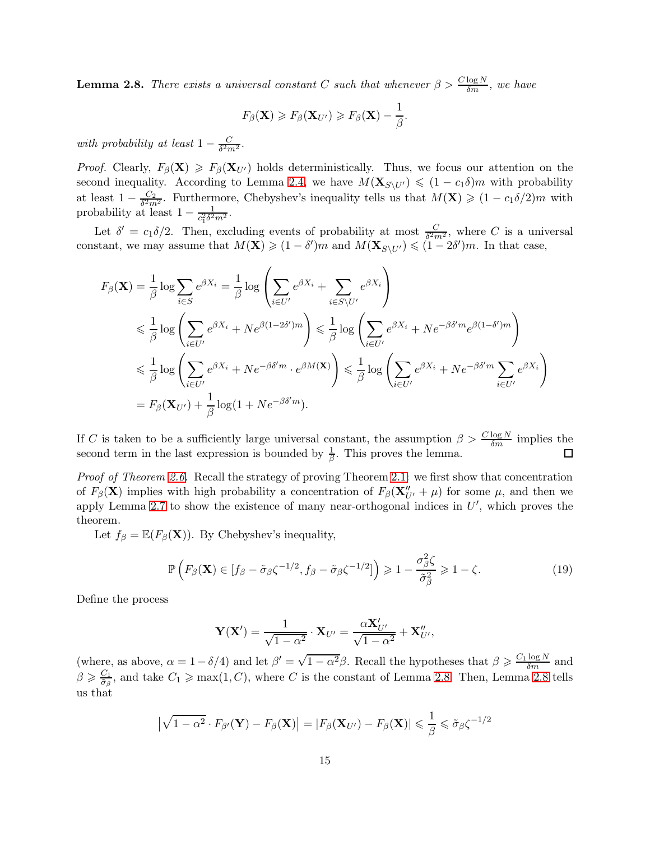<span id="page-14-0"></span>**Lemma 2.8.** *There exists a universal constant* C *such that whenever*  $\beta > \frac{C \log N}{\delta m}$ , we have

$$
F_{\beta}(\mathbf{X}) \geq F_{\beta}(\mathbf{X}_{U'}) \geq F_{\beta}(\mathbf{X}) - \frac{1}{\beta}.
$$

*with probability at least*  $1 - \frac{C}{\delta^2 n}$  $\frac{C}{\delta^2 m^2}$ .

*Proof.* Clearly,  $F_\beta(\mathbf{X}) \geq F_\beta(\mathbf{X}_{U'})$  holds deterministically. Thus, we focus our attention on the second inequality. According to Lemma [2.4,](#page-8-1) we have  $M(\mathbf{X}_{S\setminus U'}) \leq (1 - c_1 \delta)m$  with probability at least  $1 - \frac{C_2}{\delta^2 m}$  $\frac{C_2}{\delta^2 m^2}$ . Furthermore, Chebyshev's inequality tells us that  $M(\mathbf{X}) \geqslant (1 - c_1 \delta/2)m$  with probability at least  $1 - \frac{1}{c_1^2 \delta^2}$  $\frac{1}{c_1^2 \delta^2 m^2}$ .

Let  $\delta' = c_1 \delta/2$ . Then, excluding events of probability at most  $\frac{C}{\delta^2 m^2}$ , where C is a universal constant, we may assume that  $M(\mathbf{X}) \geq (1 - \delta')m$  and  $M(\mathbf{X}_{S\setminus U'}) \leq (1 - 2\delta')m$ . In that case,

$$
F_{\beta}(\mathbf{X}) = \frac{1}{\beta} \log \sum_{i \in S} e^{\beta X_i} = \frac{1}{\beta} \log \left( \sum_{i \in U'} e^{\beta X_i} + \sum_{i \in S \setminus U'} e^{\beta X_i} \right)
$$
  
\$\leqslant \frac{1}{\beta} \log \left( \sum\_{i \in U'} e^{\beta X\_i} + Ne^{\beta(1-2\delta')m} \right) \leqslant \frac{1}{\beta} \log \left( \sum\_{i \in U'} e^{\beta X\_i} + Ne^{-\beta\delta' m} e^{\beta(1-\delta')m} \right) \$  
\$\leqslant \frac{1}{\beta} \log \left( \sum\_{i \in U'} e^{\beta X\_i} + Ne^{-\beta\delta' m} \cdot e^{\beta M(\mathbf{X})} \right) \leqslant \frac{1}{\beta} \log \left( \sum\_{i \in U'} e^{\beta X\_i} + Ne^{-\beta\delta' m} \sum\_{i \in U'} e^{\beta X\_i} \right) \$  
= F\_{\beta}(\mathbf{X}\_{U'}) + \frac{1}{\beta} \log (1 + Ne^{-\beta\delta' m}).

If C is taken to be a sufficiently large universal constant, the assumption  $\beta > \frac{C \log N}{\delta m}$  implies the second term in the last expression is bounded by  $\frac{1}{\beta}$ . This proves the lemma.

*Proof of Theorem [2.6.](#page-11-2)* Recall the strategy of proving Theorem [2.1:](#page-5-2) we first show that concentration of  $F_\beta(\mathbf{X})$  implies with high probability a concentration of  $F_\beta(\mathbf{X}''_{U'} + \mu)$  for some  $\mu$ , and then we apply Lemma [2.7](#page-11-3) to show the existence of many near-orthogonal indices in  $U'$ , which proves the theorem.

Let  $f_{\beta} = \mathbb{E}(F_{\beta}(\mathbf{X}))$ . By Chebyshev's inequality,

<span id="page-14-1"></span>
$$
\mathbb{P}\left(F_{\beta}(\mathbf{X})\in[f_{\beta}-\tilde{\sigma}_{\beta}\zeta^{-1/2},f_{\beta}-\tilde{\sigma}_{\beta}\zeta^{-1/2}]\right)\geqslant 1-\frac{\sigma_{\beta}^2\zeta}{\tilde{\sigma}_{\beta}^2}\geqslant 1-\zeta.
$$
\n(19)

Define the process

$$
\mathbf{Y}(\mathbf{X}') = \frac{1}{\sqrt{1-\alpha^2}} \cdot \mathbf{X}_{U'} = \frac{\alpha \mathbf{X}'_{U'}}{\sqrt{1-\alpha^2}} + \mathbf{X}''_{U'},
$$

(where, as above,  $\alpha = 1 - \delta/4$ ) and let  $\beta' = \sqrt{1 - \alpha^2} \beta$ . Recall the hypotheses that  $\beta \geq \frac{C_1 \log N}{\delta m}$  and  $\beta \geqslant \frac{C_1}{\tilde{\sigma}_o}$  $\frac{C_1}{\tilde{\sigma}_{\beta}}$ , and take  $C_1 \ge \max(1, C)$ , where C is the constant of Lemma [2.8.](#page-14-0) Then, Lemma [2.8](#page-14-0) tells us that

$$
\left|\sqrt{1-\alpha^2}\cdot F_{\beta'}(\mathbf{Y})-F_{\beta}(\mathbf{X})\right| = \left|F_{\beta}(\mathbf{X}_{U'})-F_{\beta}(\mathbf{X})\right| \leq \frac{1}{\beta} \leq \tilde{\sigma}_{\beta}\zeta^{-1/2}
$$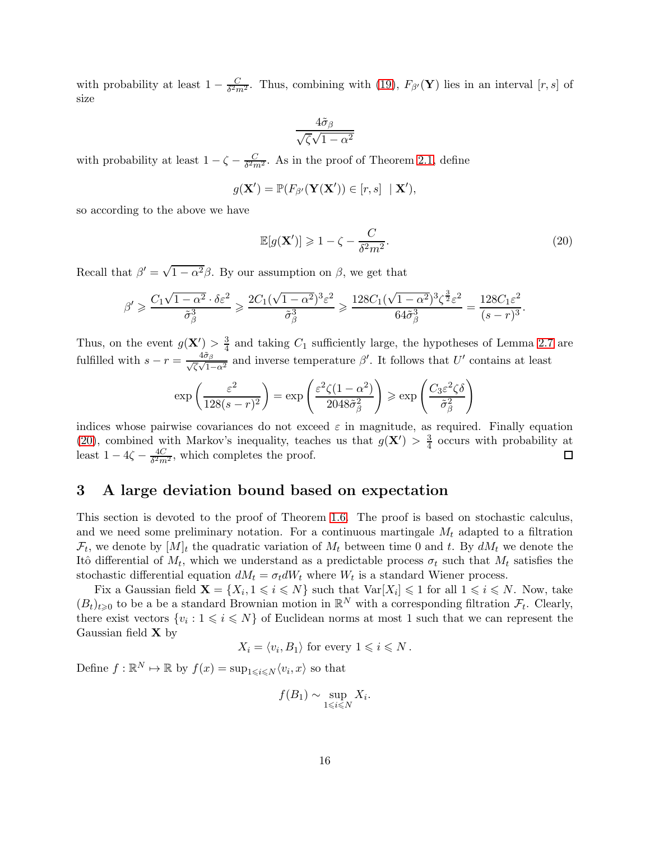with probability at least  $1 - \frac{C}{\delta^2 m^2}$ . Thus, combining with [\(19\)](#page-14-1),  $F_{\beta'}(\mathbf{Y})$  lies in an interval [r, s] of size

$$
\frac{4\tilde{\sigma}_{\beta}}{\sqrt{\zeta}\sqrt{1-\alpha^2}}
$$

with probability at least  $1 - \zeta - \frac{C}{\delta^2 m^2}$ . As in the proof of Theorem [2.1,](#page-5-2) define

$$
g(\mathbf{X}') = \mathbb{P}(F_{\beta'}(\mathbf{Y}(\mathbf{X}')) \in [r, s] \mid \mathbf{X}'),
$$

so according to the above we have

<span id="page-15-1"></span>
$$
\mathbb{E}[g(\mathbf{X}')] \geq 1 - \zeta - \frac{C}{\delta^2 m^2}.
$$
\n(20)

Recall that  $\beta' = \sqrt{1 - \alpha^2} \beta$ . By our assumption on  $\beta$ , we get that

$$
\beta' \geqslant \frac{C_1 \sqrt{1-\alpha^2} \cdot \delta \varepsilon^2}{\tilde{\sigma}_\beta^3} \geqslant \frac{2C_1(\sqrt{1-\alpha^2})^3 \varepsilon^2}{\tilde{\sigma}_\beta^3} \geqslant \frac{128C_1(\sqrt{1-\alpha^2})^3 \zeta^{\frac{3}{2}} \varepsilon^2}{64\tilde{\sigma}_\beta^3} = \frac{128C_1\varepsilon^2}{(s-r)^3}.
$$

Thus, on the event  $g(\mathbf{X}') > \frac{3}{4}$  and taking  $C_1$  sufficiently large, the hypotheses of Lemma [2.7](#page-11-3) are fulfilled with  $s - r = \frac{4\tilde{\sigma}_{\beta}}{\sqrt{\zeta}\sqrt{1-\alpha^2}}$  and inverse temperature  $\beta'$ . It follows that U' contains at least

$$
\exp\left(\frac{\varepsilon^2}{128(s-r)^2}\right) = \exp\left(\frac{\varepsilon^2 \zeta (1-\alpha^2)}{2048\tilde{\sigma}_{\beta}^2}\right) \ge \exp\left(\frac{C_3 \varepsilon^2 \zeta \delta}{\tilde{\sigma}_{\beta}^2}\right)
$$

indices whose pairwise covariances do not exceed  $\varepsilon$  in magnitude, as required. Finally equation [\(20\)](#page-15-1), combined with Markov's inequality, teaches us that  $g(\mathbf{X}') > \frac{3}{4}$  occurs with probability at least  $1 - 4\zeta - \frac{4C}{\delta^2 m^2}$ , which completes the proof. □

## <span id="page-15-0"></span>3 A large deviation bound based on expectation

This section is devoted to the proof of Theorem [1.6.](#page-4-0) The proof is based on stochastic calculus, and we need some preliminary notation. For a continuous martingale  $M_t$  adapted to a filtration  $\mathcal{F}_t$ , we denote by  $[M]_t$  the quadratic variation of  $M_t$  between time 0 and t. By  $dM_t$  we denote the Itô differential of  $M_t$ , which we understand as a predictable process  $\sigma_t$  such that  $M_t$  satisfies the stochastic differential equation  $dM_t = \sigma_t dW_t$  where  $W_t$  is a standard Wiener process.

Fix a Gaussian field  $\mathbf{X} = \{X_i, 1 \leq i \leq N\}$  such that  $\text{Var}[X_i] \leq 1$  for all  $1 \leq i \leq N$ . Now, take  $(B_t)_{t\geqslant0}$  to be a be a standard Brownian motion in  $\mathbb{R}^N$  with a corresponding filtration  $\mathcal{F}_t$ . Clearly, there exist vectors  $\{v_i: 1 \leq i \leq N\}$  of Euclidean norms at most 1 such that we can represent the Gaussian field X by

 $X_i = \langle v_i, B_1 \rangle$  for every  $1 \leq i \leq N$ .

Define  $f : \mathbb{R}^N \to \mathbb{R}$  by  $f(x) = \sup_{1 \le i \le N} \langle v_i, x \rangle$  so that

$$
f(B_1) \sim \sup_{1 \leq i \leq N} X_i.
$$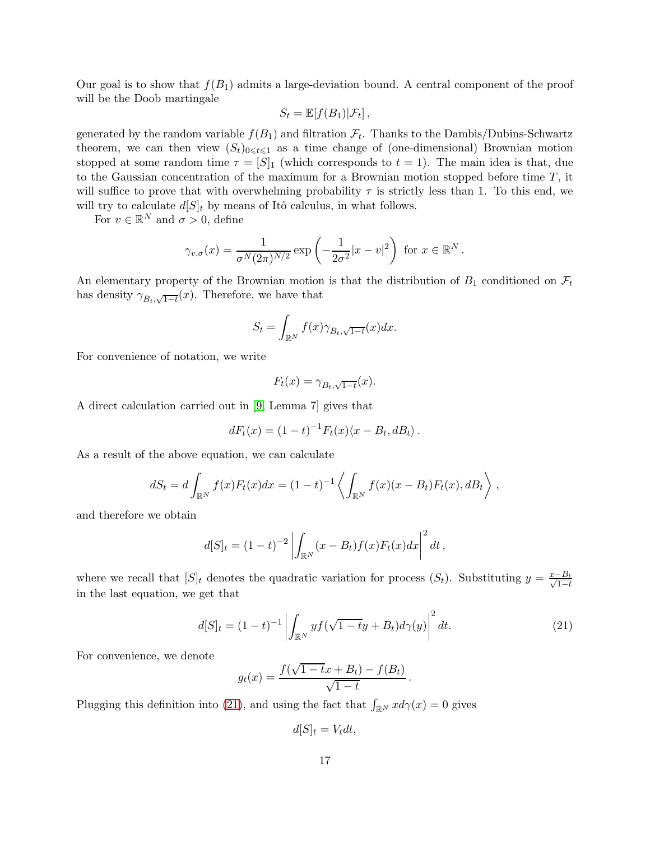Our goal is to show that  $f(B_1)$  admits a large-deviation bound. A central component of the proof will be the Doob martingale

$$
S_t = \mathbb{E}[f(B_1)|\mathcal{F}_t],
$$

generated by the random variable  $f(B_1)$  and filtration  $\mathcal{F}_t$ . Thanks to the Dambis/Dubins-Schwartz theorem, we can then view  $(S_t)_{0\leq t\leq 1}$  as a time change of (one-dimensional) Brownian motion stopped at some random time  $\tau = [S]_1$  (which corresponds to  $t = 1$ ). The main idea is that, due to the Gaussian concentration of the maximum for a Brownian motion stopped before time  $T$ , it will suffice to prove that with overwhelming probability  $\tau$  is strictly less than 1. To this end, we will try to calculate  $d[S]_t$  by means of Itô calculus, in what follows.

For  $v \in \mathbb{R}^N$  and  $\sigma > 0$ , define

$$
\gamma_{v,\sigma}(x) = \frac{1}{\sigma^N (2\pi)^{N/2}} \exp\left(-\frac{1}{2\sigma^2}|x-v|^2\right) \text{ for } x \in \mathbb{R}^N.
$$

An elementary property of the Brownian motion is that the distribution of  $B_1$  conditioned on  $\mathcal{F}_t$ has density  $\gamma_{B_t,\sqrt{1-t}}(x)$ . Therefore, we have that

$$
S_t = \int_{\mathbb{R}^N} f(x) \gamma_{B_t, \sqrt{1-t}}(x) dx.
$$

For convenience of notation, we write

$$
F_t(x) = \gamma_{B_t, \sqrt{1-t}}(x).
$$

A direct calculation carried out in [\[9,](#page-23-13) Lemma 7] gives that

$$
dF_t(x) = (1-t)^{-1}F_t(x)\langle x - B_t, dB_t \rangle.
$$

As a result of the above equation, we can calculate

$$
dS_t = d\int_{\mathbb{R}^N} f(x)F_t(x)dx = (1-t)^{-1}\left\langle \int_{\mathbb{R}^N} f(x)(x-B_t)F_t(x), dB_t \right\rangle,
$$

and therefore we obtain

$$
d[S]_t = (1-t)^{-2} \left| \int_{\mathbb{R}^N} (x - B_t) f(x) F_t(x) dx \right|^2 dt,
$$

where we recall that  $[S]_t$  denotes the quadratic variation for process  $(S_t)$ . Substituting  $y = \frac{x-B_t}{\sqrt{1-t}}$ in the last equation, we get that

<span id="page-16-0"></span>
$$
d[S]_t = (1-t)^{-1} \left| \int_{\mathbb{R}^N} y f(\sqrt{1-t}y + B_t) d\gamma(y) \right|^2 dt.
$$
 (21)

.

For convenience, we denote

$$
g_t(x) = \frac{f(\sqrt{1 - tx + B_t) - f(B_t)}}{\sqrt{1 - t}}
$$

Plugging this definition into [\(21\)](#page-16-0), and using the fact that  $\int_{\mathbb{R}^N} x d\gamma(x) = 0$  gives

$$
d[S]_t = V_t dt,
$$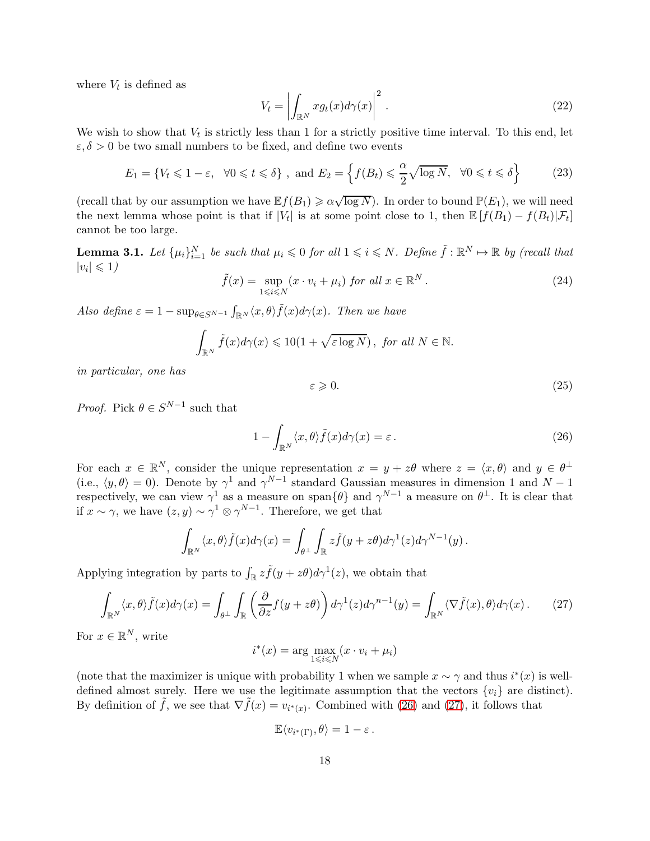where  $V_t$  is defined as

<span id="page-17-3"></span>
$$
V_t = \left| \int_{\mathbb{R}^N} x g_t(x) d\gamma(x) \right|^2.
$$
 (22)

We wish to show that  $V_t$  is strictly less than 1 for a strictly positive time interval. To this end, let  $\varepsilon, \delta > 0$  be two small numbers to be fixed, and define two events

<span id="page-17-2"></span>
$$
E_1 = \{ V_t \leq 1 - \varepsilon, \ \forall 0 \leq t \leq \delta \}, \text{ and } E_2 = \left\{ f(B_t) \leq \frac{\alpha}{2} \sqrt{\log N}, \ \forall 0 \leq t \leq \delta \right\}
$$
 (23)

(recall that by our assumption we have  $\mathbb{E}f(B_1) \geq \alpha \sqrt{\log N}$ ). In order to bound  $\mathbb{P}(E_1)$ , we will need the next lemma whose point is that if  $|V_t|$  is at some point close to 1, then  $\mathbb{E}[f(B_1) - f(B_t)|\mathcal{F}_t]$ cannot be too large.

<span id="page-17-4"></span>**Lemma 3.1.** Let  $\{\mu_i\}_{i=1}^N$  be such that  $\mu_i \leq 0$  for all  $1 \leq i \leq N$ . Define  $\tilde{f}: \mathbb{R}^N \mapsto \mathbb{R}$  by (recall that  $|v_i| \leqslant 1$ 

<span id="page-17-5"></span>
$$
\tilde{f}(x) = \sup_{1 \le i \le N} (x \cdot v_i + \mu_i) \text{ for all } x \in \mathbb{R}^N. \tag{24}
$$

Also define  $\varepsilon = 1 - \sup_{\theta \in S^{N-1}} \int_{\mathbb{R}^N} \langle x, \theta \rangle \tilde{f}(x) d\gamma(x)$ *. Then we have* 

$$
\int_{\mathbb{R}^N} \tilde{f}(x) d\gamma(x) \leq 10(1 + \sqrt{\varepsilon \log N}), \text{ for all } N \in \mathbb{N}.
$$

*in particular, one has*

<span id="page-17-6"></span>
$$
\varepsilon \geqslant 0.\tag{25}
$$

*Proof.* Pick  $\theta \in S^{N-1}$  such that

<span id="page-17-0"></span>
$$
1 - \int_{\mathbb{R}^N} \langle x, \theta \rangle \tilde{f}(x) d\gamma(x) = \varepsilon.
$$
 (26)

For each  $x \in \mathbb{R}^N$ , consider the unique representation  $x = y + z\theta$  where  $z = \langle x, \theta \rangle$  and  $y \in \theta^{\perp}$ (i.e.,  $\langle y, \theta \rangle = 0$ ). Denote by  $\gamma^1$  and  $\gamma^{N-1}$  standard Gaussian measures in dimension 1 and  $N-1$ respectively, we can view  $\gamma^1$  as a measure on span $\{\theta\}$  and  $\gamma^{N-1}$  a measure on  $\theta^{\perp}$ . It is clear that if  $x \sim \gamma$ , we have  $(z, y) \sim \gamma^1 \otimes \gamma^{N-1}$ . Therefore, we get that

$$
\int_{\mathbb{R}^N} \langle x,\theta\rangle \tilde{f}(x)d\gamma(x) = \int_{\theta^{\perp}} \int_{\mathbb{R}} z\tilde{f}(y+z\theta)d\gamma^1(z)d\gamma^{N-1}(y).
$$

Applying integration by parts to  $\int_{\mathbb{R}} z \tilde{f}(y + z\theta) d\gamma^{1}(z)$ , we obtain that

<span id="page-17-1"></span>
$$
\int_{\mathbb{R}^N} \langle x, \theta \rangle \tilde{f}(x) d\gamma(x) = \int_{\theta^{\perp}} \int_{\mathbb{R}} \left( \frac{\partial}{\partial z} f(y + z\theta) \right) d\gamma^1(z) d\gamma^{n-1}(y) = \int_{\mathbb{R}^N} \langle \nabla \tilde{f}(x), \theta \rangle d\gamma(x).
$$
 (27)

For  $x \in \mathbb{R}^N$ , write

$$
i^*(x) = \arg\max_{1 \leq i \leq N} (x \cdot v_i + \mu_i)
$$

(note that the maximizer is unique with probability 1 when we sample  $x \sim \gamma$  and thus  $i^*(x)$  is welldefined almost surely. Here we use the legitimate assumption that the vectors  $\{v_i\}$  are distinct). By definition of  $\tilde{f}$ , we see that  $\nabla \tilde{f}(x) = v_{i^*(x)}$ . Combined with [\(26\)](#page-17-0) and [\(27\)](#page-17-1), it follows that

$$
\mathbb{E}\langle v_{i^*(\Gamma)},\theta\rangle=1-\varepsilon\,.
$$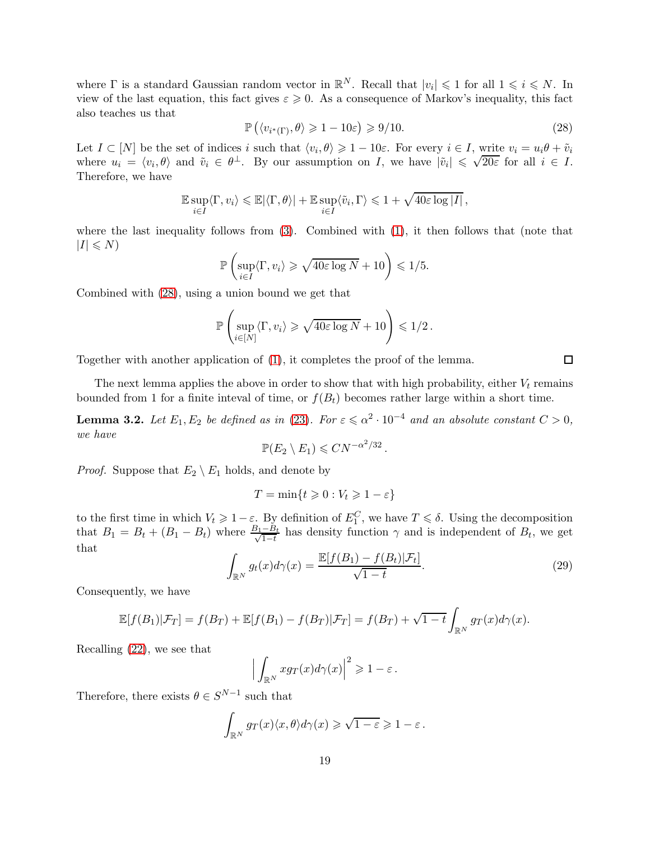where  $\Gamma$  is a standard Gaussian random vector in  $\mathbb{R}^N$ . Recall that  $|v_i| \leq 1$  for all  $1 \leq i \leq N$ . In view of the last equation, this fact gives  $\varepsilon \geq 0$ . As a consequence of Markov's inequality, this fact also teaches us that

<span id="page-18-0"></span>
$$
\mathbb{P}\left(\langle v_{i^*(\Gamma)}, \theta \rangle \geq 1 - 10\varepsilon\right) \geq 9/10. \tag{28}
$$

Let  $I \subset [N]$  be the set of indices i such that  $\langle v_i, \theta \rangle \geq 1 - 10\varepsilon$ . For every  $i \in I$ , write  $v_i = u_i \theta + \tilde{v}_i$ where  $u_i = \langle v_i, \theta \rangle$  and  $\tilde{v}_i \in \theta^{\perp}$ . By our assumption on I, we have  $|\tilde{v}_i| \leq \sqrt{20\varepsilon}$  for all  $i \in I$ . Therefore, we have

$$
\mathbb{E} \sup_{i \in I} \langle \Gamma, v_i \rangle \leq \mathbb{E} |\langle \Gamma, \theta \rangle| + \mathbb{E} \sup_{i \in I} \langle \tilde{v}_i, \Gamma \rangle \leq 1 + \sqrt{40 \varepsilon \log |I|},
$$

where the last inequality follows from  $(3)$ . Combined with  $(1)$ , it then follows that (note that  $|I| \leqslant N$ 

$$
\mathbb{P}\left(\sup_{i\in I}\langle\Gamma,v_i\rangle\geqslant\sqrt{40\varepsilon\log N}+10\right)\leqslant 1/5.
$$

Combined with [\(28\)](#page-18-0), using a union bound we get that

$$
\mathbb{P}\left(\sup_{i\in[N]} \langle \Gamma, v_i \rangle \geqslant \sqrt{40\varepsilon \log N} + 10\right) \leqslant 1/2.
$$

Together with another application of [\(1\)](#page-0-0), it completes the proof of the lemma.

The next lemma applies the above in order to show that with high probability, either  $V_t$  remains bounded from 1 for a finite inteval of time, or  $f(B_t)$  becomes rather large within a short time.

<span id="page-18-1"></span>**Lemma 3.2.** Let  $E_1, E_2$  be defined as in [\(23\)](#page-17-2). For  $\varepsilon \le \alpha^2 \cdot 10^{-4}$  and an absolute constant  $C > 0$ , *we have*

$$
\mathbb{P}(E_2 \setminus E_1) \leqslant C N^{-\alpha^2/32}.
$$

*Proof.* Suppose that  $E_2 \setminus E_1$  holds, and denote by

$$
T = \min\{t \geq 0: V_t \geq 1-\varepsilon\}
$$

to the first time in which  $V_t \geq 1 - \varepsilon$ . By definition of  $E_1^C$ , we have  $T \leq \delta$ . Using the decomposition that  $B_1 = B_t + (B_1 - B_t)$  where  $\frac{B_1 - B_t}{\sqrt{1 - t}}$  has density function  $\gamma$  and is independent of  $B_t$ , we get that

$$
\int_{\mathbb{R}^N} g_t(x) d\gamma(x) = \frac{\mathbb{E}[f(B_1) - f(B_t)|\mathcal{F}_t]}{\sqrt{1 - t}}.
$$
\n(29)

Consequently, we have

$$
\mathbb{E}[f(B_1)|\mathcal{F}_T] = f(B_T) + \mathbb{E}[f(B_1) - f(B_T)|\mathcal{F}_T] = f(B_T) + \sqrt{1-t} \int_{\mathbb{R}^N} g_T(x) d\gamma(x).
$$

Recalling [\(22\)](#page-17-3), we see that

$$
\Big|\int_{\mathbb{R}^N} x g_T(x) d\gamma(x)\Big|^2 \geqslant 1-\varepsilon\,.
$$

Therefore, there exists  $\theta \in S^{N-1}$  such that

$$
\int_{\mathbb{R}^N} g_T(x) \langle x, \theta \rangle d\gamma(x) \geqslant \sqrt{1 - \varepsilon} \geqslant 1 - \varepsilon \, .
$$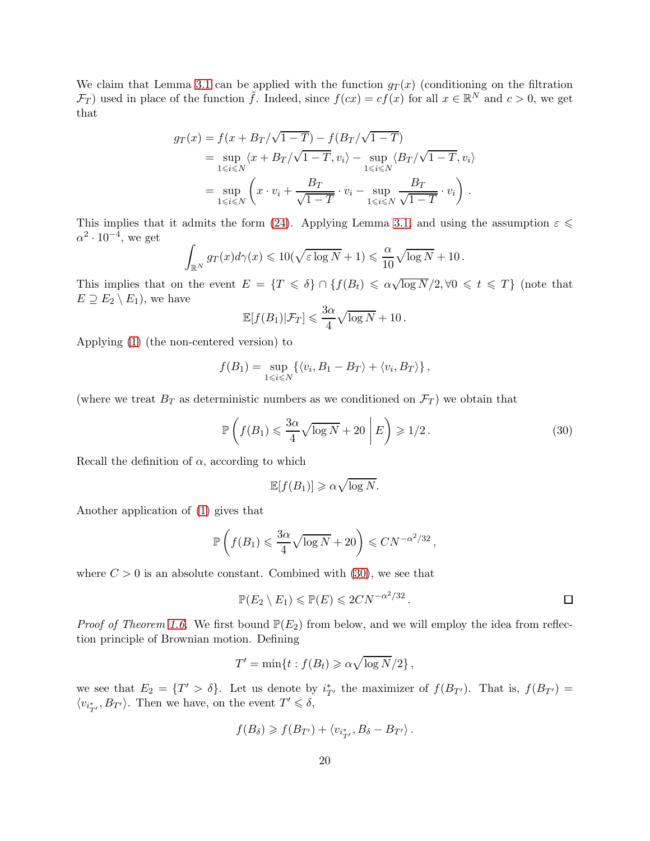We claim that Lemma [3.1](#page-17-4) can be applied with the function  $g_T(x)$  (conditioning on the filtration  $\mathcal{F}_T$  used in place of the function  $\tilde{f}$ . Indeed, since  $f(cx) = cf(x)$  for all  $x \in \mathbb{R}^N$  and  $c > 0$ , we get that

$$
g_T(x) = f(x + B_T/\sqrt{1 - T}) - f(B_T/\sqrt{1 - T})
$$
  
= 
$$
\sup_{1 \le i \le N} \langle x + B_T/\sqrt{1 - T}, v_i \rangle - \sup_{1 \le i \le N} \langle B_T/\sqrt{1 - T}, v_i \rangle
$$
  
= 
$$
\sup_{1 \le i \le N} \left( x \cdot v_i + \frac{B_T}{\sqrt{1 - T}} \cdot v_i - \sup_{1 \le i \le N} \frac{B_T}{\sqrt{1 - T}} \cdot v_i \right).
$$

This implies that it admits the form [\(24\)](#page-17-5). Applying Lemma [3.1,](#page-17-4) and using the assumption  $\varepsilon \leq$  $\alpha^2 \cdot 10^{-4}$ , we get

$$
\int_{\mathbb{R}^N} g_T(x) d\gamma(x) \leq 10(\sqrt{\varepsilon \log N} + 1) \leq \frac{\alpha}{10} \sqrt{\log N} + 10.
$$

This implies that on the event  $E = \{T \le \delta\} \cap \{f(B_t) \le \alpha \sqrt{\log N}/2, \forall 0 \le t \le T\}$  (note that  $E \supseteq E_2 \setminus E_1$ , we have

$$
\mathbb{E}[f(B_1)|\mathcal{F}_T] \leqslant \frac{3\alpha}{4}\sqrt{\log N} + 10.
$$

Applying [\(1\)](#page-0-0) (the non-centered version) to

$$
f(B_1) = \sup_{1 \le i \le N} \{ \langle v_i, B_1 - B_T \rangle + \langle v_i, B_T \rangle \},
$$

(where we treat  $B_T$  as deterministic numbers as we conditioned on  $\mathcal{F}_T$ ) we obtain that

<span id="page-19-0"></span>
$$
\mathbb{P}\left(f(B_1) \leq \frac{3\alpha}{4}\sqrt{\log N} + 20\left|E\right| \geq 1/2. \tag{30}
$$

Recall the definition of  $\alpha$ , according to which

$$
\mathbb{E}[f(B_1)] \geqslant \alpha \sqrt{\log N}.
$$

Another application of [\(1\)](#page-0-0) gives that

$$
\mathbb{P}\left(f(B_1) \leqslant \frac{3\alpha}{4}\sqrt{\log N} + 20\right) \leqslant C N^{-\alpha^2/32},
$$

where  $C > 0$  is an absolute constant. Combined with [\(30\)](#page-19-0), we see that

$$
\mathbb{P}(E_2 \setminus E_1) \leq \mathbb{P}(E) \leq 2CN^{-\alpha^2/32}.
$$

*Proof of Theorem [1.6.](#page-4-0)* We first bound  $\mathbb{P}(E_2)$  from below, and we will employ the idea from reflection principle of Brownian motion. Defining

$$
T' = \min\{t : f(B_t) \geqslant \alpha \sqrt{\log N}/2\},\,
$$

we see that  $E_2 = \{T' > \delta\}$ . Let us denote by  $i_{T'}^*$  the maximizer of  $f(B_{T'})$ . That is,  $f(B_{T'}) =$  $\langle v_{i_{T'}^*}, B_{T'} \rangle$ . Then we have, on the event  $T' \leq \delta$ ,

$$
f(B_{\delta}) \geqslant f(B_{T'}) + \langle v_{i_{T'}^*}, B_{\delta} - B_{T'} \rangle.
$$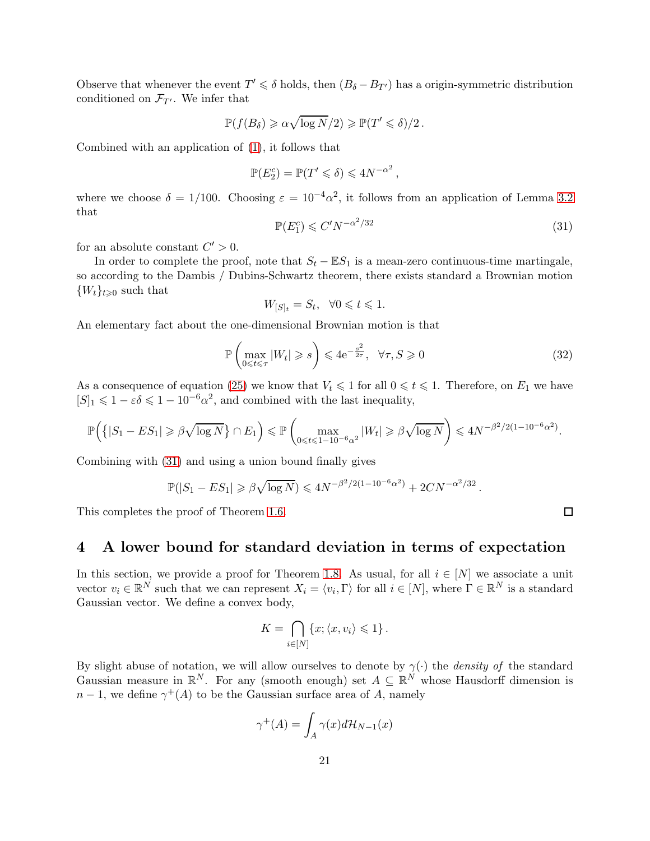Observe that whenever the event  $T' \le \delta$  holds, then  $(B_{\delta} - B_{T'})$  has a origin-symmetric distribution conditioned on  $\mathcal{F}_{T'}$ . We infer that

$$
\mathbb{P}(f(B_\delta) \geqslant \alpha \sqrt{\log N}/2) \geqslant \mathbb{P}(T' \leqslant \delta)/2.
$$

Combined with an application of [\(1\)](#page-0-0), it follows that

$$
\mathbb{P}(E_2^c) = \mathbb{P}(T' \leq \delta) \leq 4N^{-\alpha^2},
$$

where we choose  $\delta = 1/100$ . Choosing  $\varepsilon = 10^{-4} \alpha^2$ , it follows from an application of Lemma [3.2](#page-18-1) that

<span id="page-20-1"></span>
$$
\mathbb{P}(E_1^c) \leqslant C' N^{-\alpha^2/32} \tag{31}
$$

for an absolute constant  $C' > 0$ .

In order to complete the proof, note that  $S_t - \mathbb{E}S_1$  is a mean-zero continuous-time martingale, so according to the Dambis / Dubins-Schwartz theorem, there exists standard a Brownian motion  ${W_t}_{t\geqslant0}$  such that

$$
W_{[S]_t}=S_t,\ \ \forall 0\leqslant t\leqslant 1.
$$

An elementary fact about the one-dimensional Brownian motion is that

$$
\mathbb{P}\left(\max_{0\leq t\leq \tau}|W_t|\geqslant s\right)\leqslant 4\mathrm{e}^{-\frac{s^2}{2\tau}},\ \ \forall \tau,S\geqslant 0\tag{32}
$$

As a consequence of equation [\(25\)](#page-17-6) we know that  $V_t \leq 1$  for all  $0 \leq t \leq 1$ . Therefore, on  $E_1$  we have  $[S]_1 \leq 1 - \varepsilon \delta \leq 1 - 10^{-6} \alpha^2$ , and combined with the last inequality,

$$
\mathbb{P}\Big(\big\{|S_1 - ES_1| \geqslant \beta\sqrt{\log N}\big\} \cap E_1\Big) \leqslant \mathbb{P}\left(\max_{0 \leqslant t \leqslant 1-10^{-6}\alpha^2} |W_t| \geqslant \beta\sqrt{\log N}\right) \leqslant 4N^{-\beta^2/2(1-10^{-6}\alpha^2)}.
$$

Combining with [\(31\)](#page-20-1) and using a union bound finally gives

$$
\mathbb{P}(|S_1 - ES_1| \geq \beta \sqrt{\log N}) \leq 4N^{-\beta^2/2(1-10^{-6}\alpha^2)} + 2CN^{-\alpha^2/32}.
$$

<span id="page-20-0"></span>This completes the proof of Theorem [1.6.](#page-4-0)

### 4 A lower bound for standard deviation in terms of expectation

In this section, we provide a proof for Theorem [1.8.](#page-5-0) As usual, for all  $i \in [N]$  we associate a unit vector  $v_i \in \mathbb{R}^N$  such that we can represent  $X_i = \langle v_i, \Gamma \rangle$  for all  $i \in [N]$ , where  $\Gamma \in \mathbb{R}^N$  is a standard Gaussian vector. We define a convex body,

$$
K = \bigcap_{i \in [N]} \{x; \langle x, v_i \rangle \leq 1\}.
$$

By slight abuse of notation, we will allow ourselves to denote by  $\gamma(\cdot)$  the *density of* the standard Gaussian measure in  $\mathbb{R}^N$ . For any (smooth enough) set  $A \subseteq \mathbb{R}^N$  whose Hausdorff dimension is  $n-1$ , we define  $\gamma^+(A)$  to be the Gaussian surface area of A, namely

$$
\gamma^+(A) = \int_A \gamma(x)d\mathcal{H}_{N-1}(x)
$$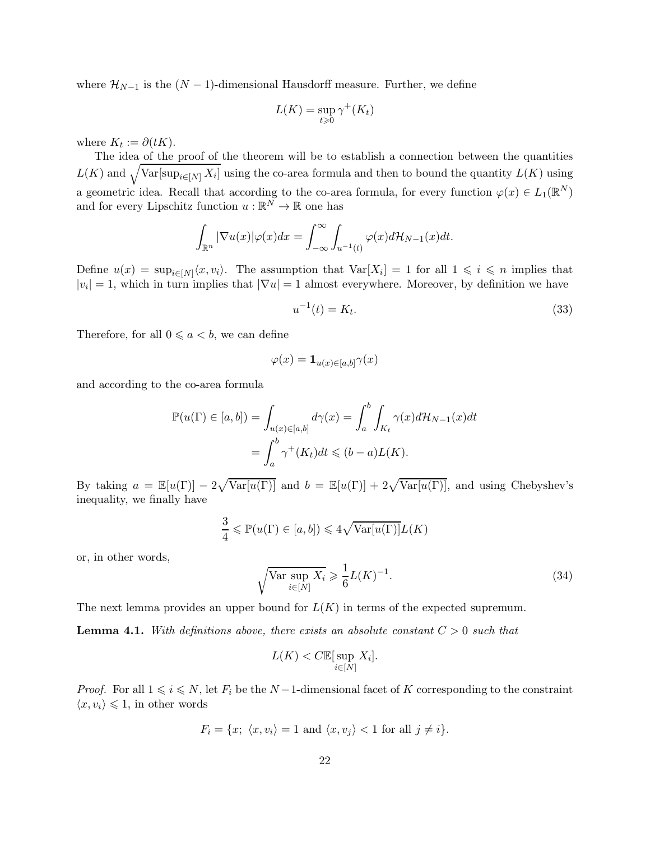where  $\mathcal{H}_{N-1}$  is the  $(N-1)$ -dimensional Hausdorff measure. Further, we define

$$
L(K) = \sup_{t \ge 0} \gamma^+(K_t)
$$

where  $K_t := \partial(tK)$ .

The idea of the proof of the theorem will be to establish a connection between the quantities  $L(K)$  and  $\sqrt{\text{Var}[\sup_{i\in[N]} X_i]}$  using the co-area formula and then to bound the quantity  $L(K)$  using a geometric idea. Recall that according to the co-area formula, for every function  $\varphi(x) \in L_1(\mathbb{R}^N)$ and for every Lipschitz function  $u : \mathbb{R}^N \to \mathbb{R}$  one has

$$
\int_{\mathbb{R}^n} |\nabla u(x)| \varphi(x) dx = \int_{-\infty}^{\infty} \int_{u^{-1}(t)} \varphi(x) d\mathcal{H}_{N-1}(x) dt.
$$

Define  $u(x) = \sup_{i \in [N]} \langle x, v_i \rangle$ . The assumption that  $Var[X_i] = 1$  for all  $1 \leq i \leq n$  implies that  $|v_i|=1$ , which in turn implies that  $|\nabla u|=1$  almost everywhere. Moreover, by definition we have

$$
u^{-1}(t) = K_t.
$$
\n(33)

Therefore, for all  $0 \leq a \leq b$ , we can define

$$
\varphi(x) = \mathbf{1}_{u(x)\in [a,b]}\gamma(x)
$$

and according to the co-area formula

$$
\mathbb{P}(u(\Gamma) \in [a, b]) = \int_{u(x) \in [a, b]} d\gamma(x) = \int_a^b \int_{K_t} \gamma(x) d\mathcal{H}_{N-1}(x) dt
$$
  
= 
$$
\int_a^b \gamma^+(K_t) dt \leq (b - a)L(K).
$$

By taking  $a = \mathbb{E}[u(\Gamma)] - 2\sqrt{\text{Var}[u(\Gamma)]}$  and  $b = \mathbb{E}[u(\Gamma)] + 2\sqrt{\text{Var}[u(\Gamma)]}$ , and using Chebyshev's inequality, we finally have

$$
\frac{3}{4} \leqslant \mathbb{P}(u(\Gamma) \in [a, b]) \leqslant 4\sqrt{\text{Var}[u(\Gamma)]}L(K)
$$

or, in other words,

<span id="page-21-0"></span>
$$
\sqrt{\text{Var} \sup_{i \in [N]} X_i} \ge \frac{1}{6} L(K)^{-1}.
$$
\n(34)

The next lemma provides an upper bound for  $L(K)$  in terms of the expected supremum.

<span id="page-21-1"></span>**Lemma 4.1.** With definitions above, there exists an absolute constant  $C > 0$  such that

$$
L(K) < C \mathbb{E}[\sup_{i \in [N]} X_i].
$$

*Proof.* For all  $1 \leq i \leq N$ , let  $F_i$  be the N − 1-dimensional facet of K corresponding to the constraint  $\langle x, v_i \rangle \leqslant 1$ , in other words

$$
F_i = \{x; \ \langle x, v_i \rangle = 1 \ \text{and} \ \langle x, v_j \rangle < 1 \ \text{for all} \ j \neq i\}.
$$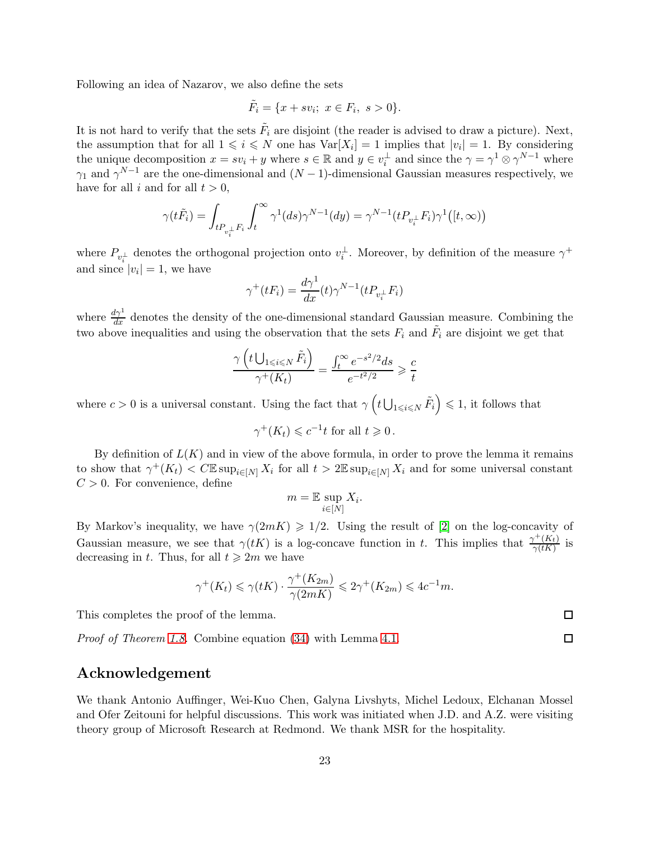Following an idea of Nazarov, we also define the sets

$$
\tilde{F}_i = \{ x + sv_i; \ x \in F_i, \ s > 0 \}.
$$

It is not hard to verify that the sets  $\tilde{F}_i$  are disjoint (the reader is advised to draw a picture). Next, the assumption that for all  $1 \leq i \leq N$  one has  $Var[X_i] = 1$  implies that  $|v_i| = 1$ . By considering the unique decomposition  $x = sv_i + y$  where  $s \in \mathbb{R}$  and  $y \in v_i^{\perp}$  and since the  $\gamma = \gamma^1 \otimes \gamma^{N-1}$  where  $\gamma_1$  and  $\gamma^{N-1}$  are the one-dimensional and  $(N-1)$ -dimensional Gaussian measures respectively, we have for all i and for all  $t > 0$ .

$$
\gamma(t\tilde{F}_i) = \int_{tP_{v_i^\perp}F_i} \int_t^\infty \gamma^1(ds)\gamma^{N-1}(dy) = \gamma^{N-1}(tP_{v_i^\perp}F_i)\gamma^1([t,\infty))
$$

where  $P_{v_i^{\perp}}$  denotes the orthogonal projection onto  $v_i^{\perp}$ . Moreover, by definition of the measure  $\gamma^+$ and since  $|v_i| = 1$ , we have

$$
\gamma^+(tF_i) = \frac{d\gamma^1}{dx}(t)\gamma^{N-1}(tP_{v_i^\perp}F_i)
$$

where  $\frac{d\gamma^1}{dx}$  denotes the density of the one-dimensional standard Gaussian measure. Combining the two above inequalities and using the observation that the sets  $F_i$  and  $\tilde{F}_i$  are disjoint we get that

$$
\frac{\gamma \left( t \bigcup_{1 \le i \le N} \tilde{F}_i \right)}{\gamma^+(K_t)} = \frac{\int_t^\infty e^{-s^2/2} ds}{e^{-t^2/2}} \ge \frac{c}{t}
$$

where  $c > 0$  is a universal constant. Using the fact that  $\gamma \left(t \bigcup_{1 \leqslant i \leqslant N} \tilde{F}_i\right) \leqslant 1$ , it follows that

$$
\gamma^+(K_t) \leqslant c^{-1}t \text{ for all } t \geqslant 0\,.
$$

By definition of  $L(K)$  and in view of the above formula, in order to prove the lemma it remains to show that  $\gamma^+(K_t) < C \mathbb{E} \sup_{i \in [N]} X_i$  for all  $t > 2 \mathbb{E} \sup_{i \in [N]} X_i$  and for some universal constant  $C > 0$ . For convenience, define

$$
m = \mathbb{E} \sup_{i \in [N]} X_i.
$$

By Markov's inequality, we have  $\gamma(2mK) \geq 1/2$ . Using the result of [\[2\]](#page-23-16) on the log-concavity of Gaussian measure, we see that  $\gamma(tK)$  is a log-concave function in t. This implies that  $\frac{\gamma^+(K_t)}{\gamma(tK)}$  is decreasing in t. Thus, for all  $t \geq 2m$  we have

$$
\gamma^+(K_t) \leq \gamma(tK) \cdot \frac{\gamma^+(K_{2m})}{\gamma(2mK)} \leq 2\gamma^+(K_{2m}) \leq 4c^{-1}m.
$$

This completes the proof of the lemma.

*Proof of Theorem [1.8.](#page-5-0)* Combine equation [\(34\)](#page-21-0) with Lemma [4.1.](#page-21-1)

# Acknowledgement

We thank Antonio Auffinger, Wei-Kuo Chen, Galyna Livshyts, Michel Ledoux, Elchanan Mossel and Ofer Zeitouni for helpful discussions. This work was initiated when J.D. and A.Z. were visiting theory group of Microsoft Research at Redmond. We thank MSR for the hospitality.

 $\Box$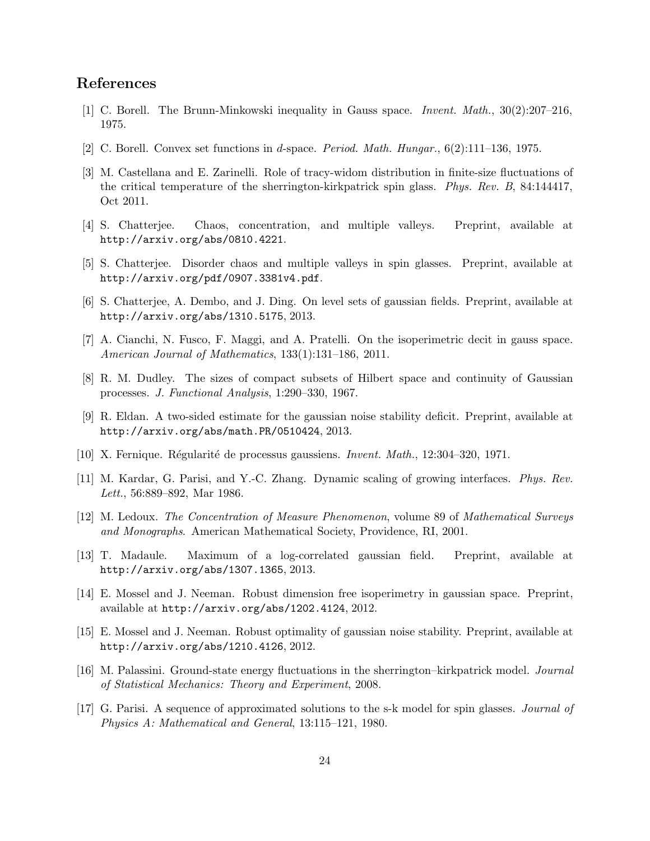# <span id="page-23-0"></span>References

- <span id="page-23-16"></span>[1] C. Borell. The Brunn-Minkowski inequality in Gauss space. *Invent. Math.*, 30(2):207–216, 1975.
- <span id="page-23-8"></span>[2] C. Borell. Convex set functions in d-space. *Period. Math. Hungar.*, 6(2):111–136, 1975.
- [3] M. Castellana and E. Zarinelli. Role of tracy-widom distribution in finite-size fluctuations of the critical temperature of the sherrington-kirkpatrick spin glass. *Phys. Rev. B*, 84:144417, Oct 2011.
- <span id="page-23-5"></span><span id="page-23-4"></span>[4] S. Chatterjee. Chaos, concentration, and multiple valleys. Preprint, available at http://arxiv.org/abs/0810.4221.
- <span id="page-23-9"></span>[5] S. Chatterjee. Disorder chaos and multiple valleys in spin glasses. Preprint, available at http://arxiv.org/pdf/0907.3381v4.pdf.
- <span id="page-23-10"></span>[6] S. Chatterjee, A. Dembo, and J. Ding. On level sets of gaussian fields. Preprint, available at http://arxiv.org/abs/1310.5175, 2013.
- <span id="page-23-14"></span>[7] A. Cianchi, N. Fusco, F. Maggi, and A. Pratelli. On the isoperimetric decit in gauss space. *American Journal of Mathematics*, 133(1):131–186, 2011.
- <span id="page-23-13"></span>[8] R. M. Dudley. The sizes of compact subsets of Hilbert space and continuity of Gaussian processes. *J. Functional Analysis*, 1:290–330, 1967.
- <span id="page-23-15"></span>[9] R. Eldan. A two-sided estimate for the gaussian noise stability deficit. Preprint, available at http://arxiv.org/abs/math.PR/0510424, 2013.
- <span id="page-23-2"></span>[10] X. Fernique. R´egularit´e de processus gaussiens. *Invent. Math.*, 12:304–320, 1971.
- <span id="page-23-1"></span>[11] M. Kardar, G. Parisi, and Y.-C. Zhang. Dynamic scaling of growing interfaces. *Phys. Rev. Lett.*, 56:889–892, Mar 1986.
- [12] M. Ledoux. *The Concentration of Measure Phenomenon*, volume 89 of *Mathematical Surveys and Monographs*. American Mathematical Society, Providence, RI, 2001.
- <span id="page-23-3"></span>[13] T. Madaule. Maximum of a log-correlated gaussian field. Preprint, available at http://arxiv.org/abs/1307.1365, 2013.
- <span id="page-23-12"></span><span id="page-23-11"></span>[14] E. Mossel and J. Neeman. Robust dimension free isoperimetry in gaussian space. Preprint, available at http://arxiv.org/abs/1202.4124, 2012.
- [15] E. Mossel and J. Neeman. Robust optimality of gaussian noise stability. Preprint, available at http://arxiv.org/abs/1210.4126, 2012.
- <span id="page-23-7"></span><span id="page-23-6"></span>[16] M. Palassini. Ground-state energy fluctuations in the sherrington–kirkpatrick model. *Journal of Statistical Mechanics: Theory and Experiment*, 2008.
- [17] G. Parisi. A sequence of approximated solutions to the s-k model for spin glasses. *Journal of Physics A: Mathematical and General*, 13:115–121, 1980.